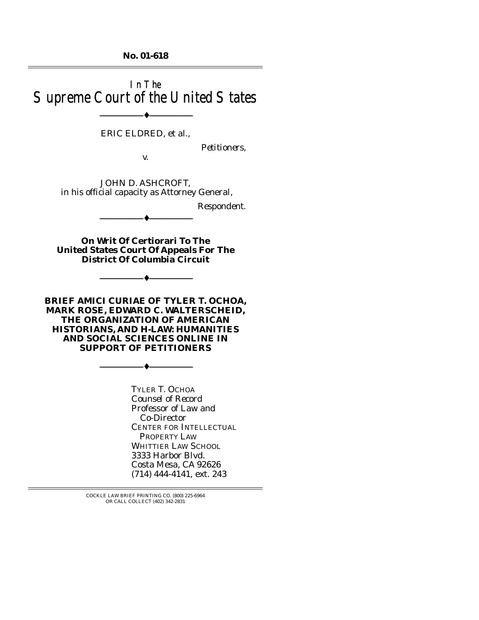**No. 01-618** 

# In The Supreme Court of the United States

 $\bullet$  $-$ 

ERIC ELDRED, et al.,

*Petitioners,* 

v.

JOHN D. ASHCROFT, in his official capacity as Attorney General,

--------------------------------- ♦ ---------------------------------

*Respondent.* 

**On Writ Of Certiorari To The United States Court Of Appeals For The District Of Columbia Circuit** 

--------------------------------- ♦ ---------------------------------

**BRIEF** *AMICI CURIAE* **OF TYLER T. OCHOA, MARK ROSE, EDWARD C. WALTERSCHEID, THE ORGANIZATION OF AMERICAN HISTORIANS, AND H-LAW: HUMANITIES AND SOCIAL SCIENCES ONLINE IN SUPPORT OF PETITIONERS** 

--------------------------------- ♦ ---------------------------------

TYLER T. OCHOA *Counsel of Record* Professor of Law and Co-Director CENTER FOR INTELLECTUAL PROPERTY LAW WHITTIER LAW SCHOOL 3333 Harbor Blvd. Costa Mesa, CA 92626 (714) 444-4141, ext. 243

COCKLE LAW BRIEF PRINTING CO. (800) 225-6964 OR CALL COLLECT (402) 342-2831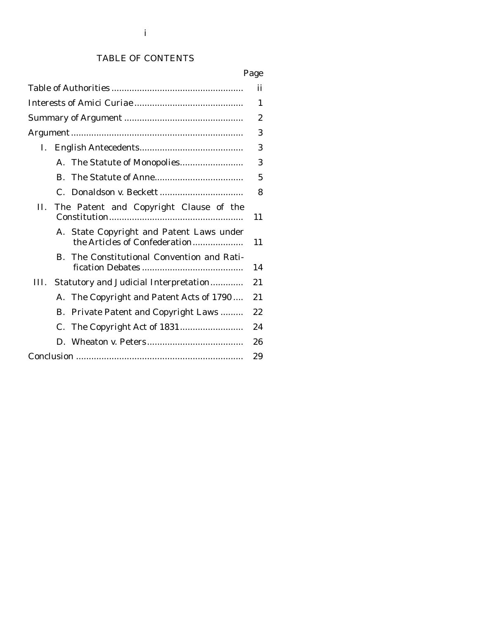# Page

|      |              |                                                                        | ii |
|------|--------------|------------------------------------------------------------------------|----|
|      |              |                                                                        | 1  |
|      |              |                                                                        | 2  |
|      |              |                                                                        | 3  |
| L.   |              |                                                                        | 3  |
|      |              |                                                                        | 3  |
|      | $\mathbf{B}$ |                                                                        | 5  |
|      |              |                                                                        | 8  |
| II.  |              | The Patent and Copyright Clause of the                                 | 11 |
|      | А.           | State Copyright and Patent Laws under<br>the Articles of Confederation | 11 |
|      | B.           | The Constitutional Convention and Rati-                                | 14 |
| III. |              | Statutory and Judicial Interpretation                                  | 21 |
|      |              | A. The Copyright and Patent Acts of 1790                               | 21 |
|      | В.           | Private Patent and Copyright Laws                                      | 22 |
|      | C.           |                                                                        | 24 |
|      |              |                                                                        | 26 |
|      |              |                                                                        | 29 |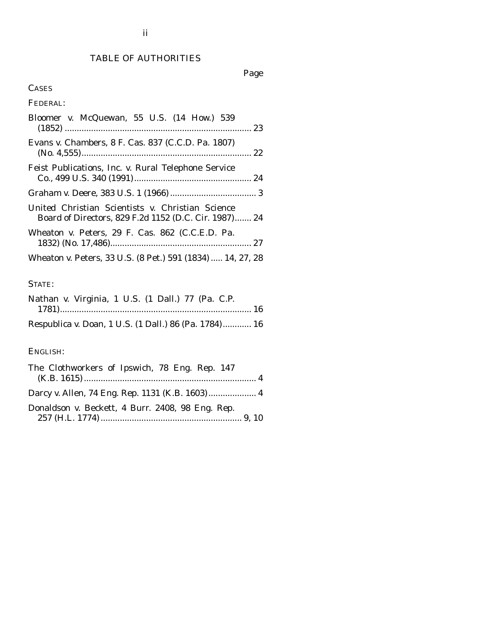### TABLE OF AUTHORITIES

# Page

### **CASES**

### FEDERAL:

| Bloomer v. McQuewan, 55 U.S. (14 How.) 539                                                                |
|-----------------------------------------------------------------------------------------------------------|
| Evans v. Chambers, 8 F. Cas. 837 (C.C.D. Pa. 1807)                                                        |
| Feist Publications, Inc. v. Rural Telephone Service                                                       |
|                                                                                                           |
| United Christian Scientists v. Christian Science<br>Board of Directors, 829 F.2d 1152 (D.C. Cir. 1987) 24 |
| Wheaton v. Peters, 29 F. Cas. 862 (C.C.E.D. Pa.                                                           |
| Wheaton v. Peters, 33 U.S. (8 Pet.) 591 (1834)  14, 27, 28                                                |
|                                                                                                           |

### STATE:

ENGLISH:

| Nathan v. Virginia, 1 U.S. (1 Dall.) 77 (Pa. C.P.     |  |  |
|-------------------------------------------------------|--|--|
|                                                       |  |  |
| Respublica v. Doan, 1 U.S. (1 Dall.) 86 (Pa. 1784) 16 |  |  |

| The Clothworkers of Ipswich, 78 Eng. Rep. 147    |  |
|--------------------------------------------------|--|
|                                                  |  |
| Donaldson v. Beckett, 4 Burr. 2408, 98 Eng. Rep. |  |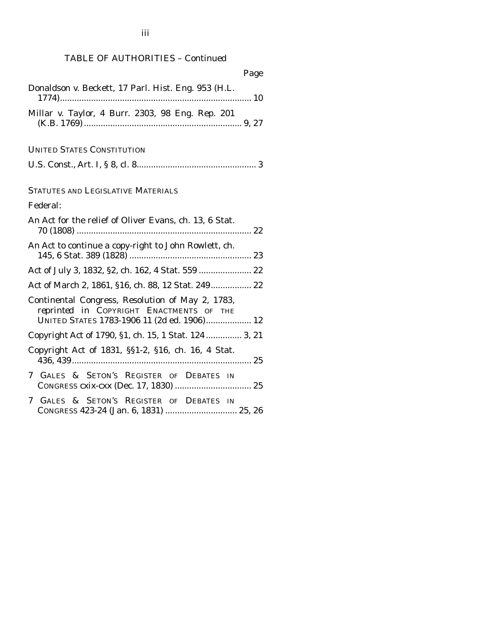| Page                                                                                                                                        |
|---------------------------------------------------------------------------------------------------------------------------------------------|
| Donaldson v. Beckett, 17 Parl. Hist. Eng. 953 (H.L.                                                                                         |
| Millar v. Taylor, 4 Burr. 2303, 98 Eng. Rep. 201                                                                                            |
| <b>UNITED STATES CONSTITUTION</b>                                                                                                           |
|                                                                                                                                             |
| <b>STATUTES AND LEGISLATIVE MATERIALS</b>                                                                                                   |
| Federal:                                                                                                                                    |
| An Act for the relief of Oliver Evans, ch. 13, 6 Stat.                                                                                      |
| An Act to continue a copy-right to John Rowlett, ch.                                                                                        |
| Act of July 3, 1832, §2, ch. 162, 4 Stat. 559  22                                                                                           |
| Act of March 2, 1861, §16, ch. 88, 12 Stat. 249 22                                                                                          |
| Continental Congress, Resolution of May 2, 1783,<br>reprinted in COPYRIGHT ENACTMENTS OF THE<br>UNITED STATES 1783-1906 11 (2d ed. 1906) 12 |
| Copyright Act of 1790, §1, ch. 15, 1 Stat. 124  3, 21                                                                                       |
| Copyright Act of 1831, §§1-2, §16, ch. 16, 4 Stat.                                                                                          |
| 7 GALES & SETON'S REGISTER OF DEBATES IN                                                                                                    |
| 7 GALES & SETON'S REGISTER OF DEBATES IN<br>CONGRESS 423-24 (Jan. 6, 1831)  25, 26                                                          |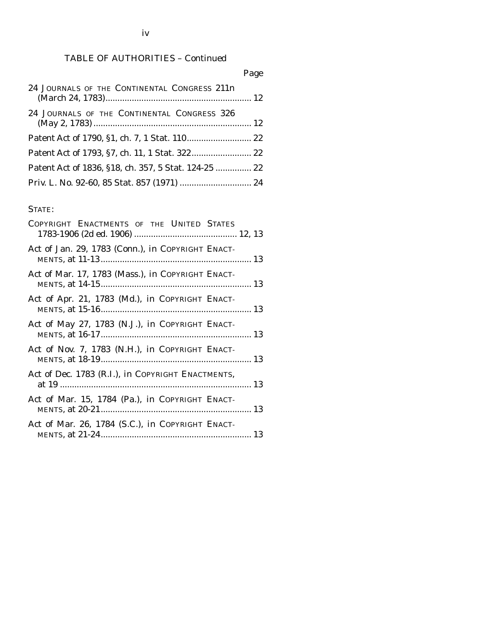# Page

| 24 JOURNALS OF THE CONTINENTAL CONGRESS 211n         |  |
|------------------------------------------------------|--|
| 24 JOURNALS OF THE CONTINENTAL CONGRESS 326          |  |
|                                                      |  |
|                                                      |  |
| Patent Act of 1836, §18, ch. 357, 5 Stat. 124-25  22 |  |
|                                                      |  |

# STATE:

| COPYRIGHT ENACTMENTS OF THE UNITED STATES              |
|--------------------------------------------------------|
| Act of Jan. 29, 1783 (Conn.), in COPYRIGHT ENACT-      |
| Act of Mar. 17, 1783 (Mass.), in COPYRIGHT ENACT-      |
| Act of Apr. 21, 1783 (Md.), in COPYRIGHT ENACT-        |
| Act of May 27, 1783 (N.J.), in COPYRIGHT ENACT-        |
| Act of Nov. 7, 1783 (N.H.), in COPYRIGHT ENACT-        |
| Act of Dec. 1783 (R.I.), in COPYRIGHT ENACTMENTS,      |
| Act of Mar. 15, 1784 (Pa.), <i>in</i> COPYRIGHT ENACT- |
| Act of Mar. 26, 1784 (S.C.), in COPYRIGHT ENACT-       |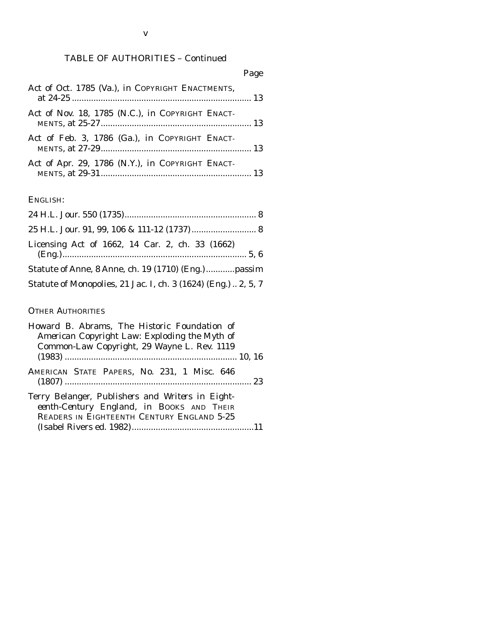### Page

| Act of Oct. 1785 (Va.), in COPYRIGHT ENACTMENTS, |  |
|--------------------------------------------------|--|
| Act of Nov. 18, 1785 (N.C.), in COPYRIGHT ENACT- |  |
| Act of Feb. 3, 1786 (Ga.), in COPYRIGHT ENACT-   |  |
| Act of Apr. 29, 1786 (N.Y.), in COPYRIGHT ENACT- |  |

ENGLISH:

| Licensing Act of 1662, 14 Car. 2, ch. 33 (1662)                |
|----------------------------------------------------------------|
| Statute of Anne, 8 Anne, ch. 19 (1710) (Eng.) passim           |
| Statute of Monopolies, 21 Jac. I, ch. 3 (1624) (Eng.)  2, 5, 7 |

### OTHER AUTHORITIES

| Howard B. Abrams, The Historic Foundation of                                                                                                       |
|----------------------------------------------------------------------------------------------------------------------------------------------------|
| American Copyright Law: Exploding the Myth of                                                                                                      |
| Common-Law Copyright, 29 Wayne L. Rev. 1119                                                                                                        |
|                                                                                                                                                    |
| AMERICAN STATE PAPERS, No. 231, 1 Misc. 646                                                                                                        |
| Terry Belanger, Publishers and Writers in Eight-<br>eenth-Century England, in BOOKS AND THEIR<br><b>READERS IN EIGHTEENTH CENTURY ENGLAND 5-25</b> |
|                                                                                                                                                    |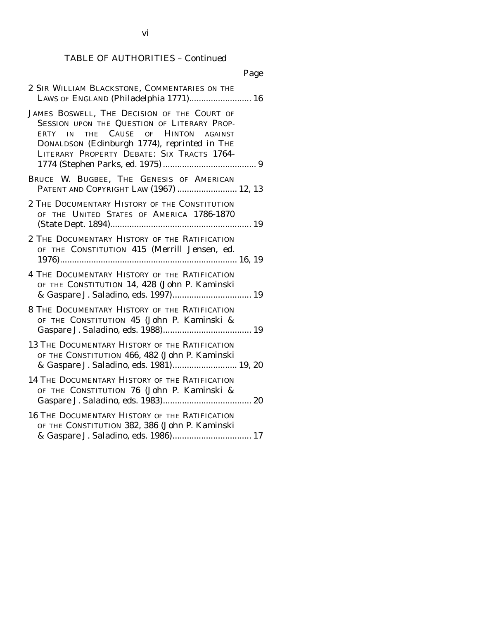|--|

| 2 SIR WILLIAM BLACKSTONE, COMMENTARIES ON THE<br>LAWS OF ENGLAND (Philadelphia 1771) 16                                                                                                                                                      |  |
|----------------------------------------------------------------------------------------------------------------------------------------------------------------------------------------------------------------------------------------------|--|
| JAMES BOSWELL, THE DECISION OF THE COURT OF<br>SESSION UPON THE QUESTION OF LITERARY PROP-<br>THE CAUSE OF HINTON AGAINST<br><b>IN</b><br>ERTY<br>DONALDSON (Edinburgh 1774), reprinted in THE<br>LITERARY PROPERTY DEBATE: SIX TRACTS 1764- |  |
| BRUCE W. BUGBEE, THE GENESIS OF AMERICAN<br>PATENT AND COPYRIGHT LAW (1967)  12, 13                                                                                                                                                          |  |
| 2 THE DOCUMENTARY HISTORY OF THE CONSTITUTION<br>OF THE UNITED STATES OF AMERICA 1786-1870                                                                                                                                                   |  |
| 2 THE DOCUMENTARY HISTORY OF THE RATIFICATION<br>OF THE CONSTITUTION 415 (Merrill Jensen, ed.                                                                                                                                                |  |
| 4 THE DOCUMENTARY HISTORY OF THE RATIFICATION<br>OF THE CONSTITUTION 14, 428 (John P. Kaminski                                                                                                                                               |  |
| 8 THE DOCUMENTARY HISTORY OF THE RATIFICATION<br>OF THE CONSTITUTION 45 (John P. Kaminski &                                                                                                                                                  |  |
| 13 THE DOCUMENTARY HISTORY OF THE RATIFICATION<br>OF THE CONSTITUTION 466, 482 (John P. Kaminski<br>& Gaspare J. Saladino, eds. 1981) 19, 20                                                                                                 |  |
| 14 THE DOCUMENTARY HISTORY OF THE RATIFICATION<br>OF THE CONSTITUTION 76 (John P. Kaminski &                                                                                                                                                 |  |
| 16 THE DOCUMENTARY HISTORY OF THE RATIFICATION<br>OF THE CONSTITUTION 382, 386 (John P. Kaminski<br>& Gaspare J. Saladino, eds. 1986) 17                                                                                                     |  |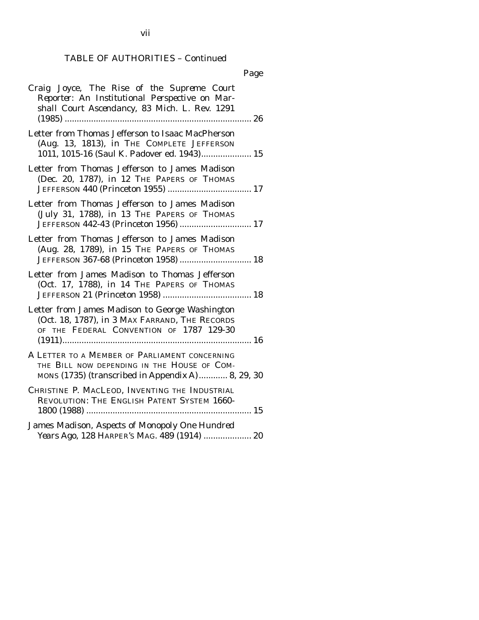|--|

| Craig Joyce, The Rise of the Supreme Court<br>Reporter: An Institutional Perspective on Mar-<br>shall Court Ascendancy, 83 Mich. L. Rev. 1291     |
|---------------------------------------------------------------------------------------------------------------------------------------------------|
| Letter from Thomas Jefferson to Isaac MacPherson<br>(Aug. 13, 1813), in THE COMPLETE JEFFERSON<br>1011, 1015-16 (Saul K. Padover ed. 1943) 15     |
| Letter from Thomas Jefferson to James Madison<br>(Dec. 20, 1787), in 12 THE PAPERS OF THOMAS                                                      |
| Letter from Thomas Jefferson to James Madison<br>(July 31, 1788), in 13 THE PAPERS OF THOMAS<br>JEFFERSON 442-43 (Princeton 1956)  17             |
| Letter from Thomas Jefferson to James Madison<br>(Aug. 28, 1789), in 15 THE PAPERS OF THOMAS<br>JEFFERSON 367-68 (Princeton 1958)  18             |
| Letter from James Madison to Thomas Jefferson<br>(Oct. 17, 1788), in 14 THE PAPERS OF THOMAS                                                      |
| Letter from James Madison to George Washington<br>(Oct. 18, 1787), in 3 MAX FARRAND, THE RECORDS<br>OF THE FEDERAL CONVENTION OF 1787 129-30      |
| A LETTER TO A MEMBER OF PARLIAMENT CONCERNING<br>THE BILL NOW DEPENDING IN THE HOUSE OF COM-<br>MONS (1735) (transcribed in Appendix A) 8, 29, 30 |
| CHRISTINE P. MACLEOD, INVENTING THE INDUSTRIAL<br>REVOLUTION: THE ENGLISH PATENT SYSTEM 1660-                                                     |
| James Madison, Aspects of Monopoly One Hundred<br>Years Ago, 128 HARPER'S MAG. 489 (1914)  20                                                     |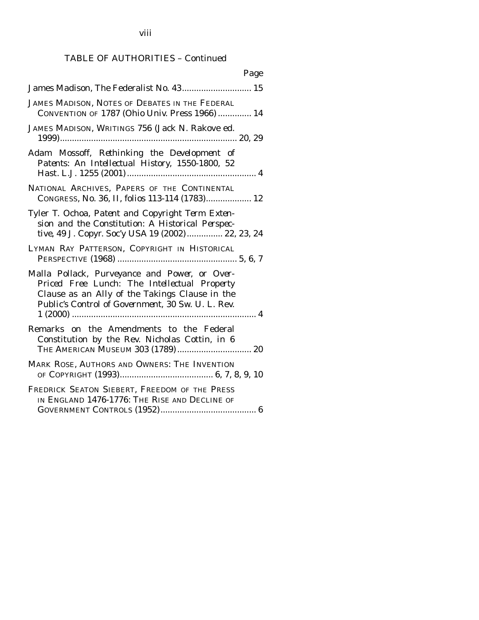### viii

| Page                                                                                                                                                                                                 |
|------------------------------------------------------------------------------------------------------------------------------------------------------------------------------------------------------|
| James Madison, The Federalist No. 43 15                                                                                                                                                              |
| JAMES MADISON, NOTES OF DEBATES IN THE FEDERAL<br>CONVENTION OF 1787 (Ohio Univ. Press 1966) 14                                                                                                      |
| JAMES MADISON, WRITINGS 756 (Jack N. Rakove ed.                                                                                                                                                      |
| Adam Mossoff, Rethinking the Development of<br>Patents: An Intellectual History, 1550-1800, 52                                                                                                       |
| NATIONAL ARCHIVES, PAPERS OF THE CONTINENTAL<br>CONGRESS, No. 36, II, folios 113-114 (1783) 12                                                                                                       |
| Tyler T. Ochoa, Patent and Copyright Term Exten-<br>sion and the Constitution: A Historical Perspec-<br>tive, 49 J. Copyr. Soc'y USA 19 (2002) 22, 23, 24                                            |
| LYMAN RAY PATTERSON, COPYRIGHT IN HISTORICAL                                                                                                                                                         |
| Malla Pollack, Purveyance and Power, or Over-<br>Priced Free Lunch: The Intellectual Property<br>Clause as an Ally of the Takings Clause in the<br>Public's Control of Government, 30 Sw. U. L. Rev. |
| Remarks on the Amendments to the Federal<br>Constitution by the Rev. Nicholas Cottin, in 6<br>THE AMERICAN MUSEUM 303 (1789)  20                                                                     |
| MARK ROSE, AUTHORS AND OWNERS: THE INVENTION                                                                                                                                                         |
| FREDRICK SEATON SIEBERT, FREEDOM OF THE PRESS<br>IN ENGLAND 1476-1776: THE RISE AND DECLINE OF                                                                                                       |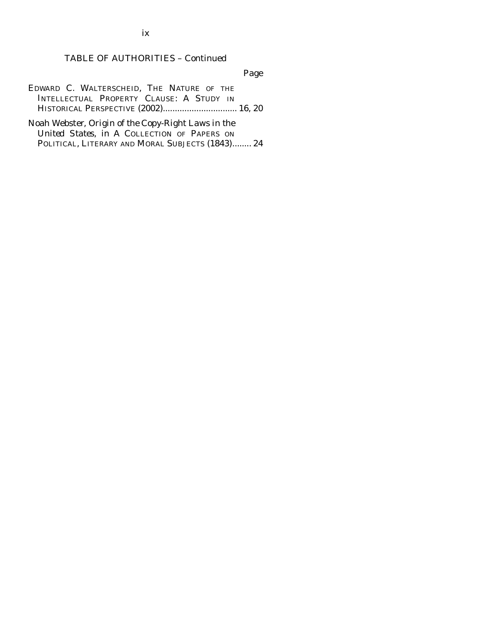Page

- EDWARD C. WALTERSCHEID, THE NATURE OF THE INTELLECTUAL PROPERTY CLAUSE: A STUDY IN HISTORICAL PERSPECTIVE (2002)............................... 16, 20
- Noah Webster, *Origin of the Copy-Right Laws in the United States*, in A COLLECTION OF PAPERS ON POLITICAL, LITERARY AND MORAL SUBJECTS (1843)........ 24

ix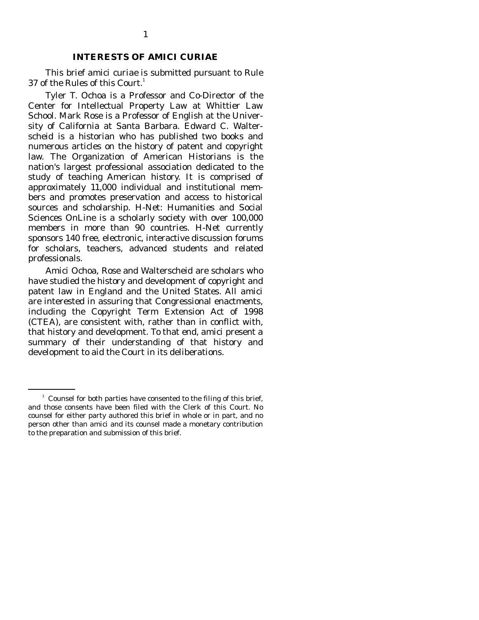#### **INTERESTS OF** *AMICI CURIAE*

 This brief *amici curiae* is submitted pursuant to Rule 37 of the Rules of this Court.<sup>1</sup>

 Tyler T. Ochoa is a Professor and Co-Director of the Center for Intellectual Property Law at Whittier Law School. Mark Rose is a Professor of English at the University of California at Santa Barbara. Edward C. Walterscheid is a historian who has published two books and numerous articles on the history of patent and copyright law. The Organization of American Historians is the nation's largest professional association dedicated to the study of teaching American history. It is comprised of approximately 11,000 individual and institutional members and promotes preservation and access to historical sources and scholarship. H-Net: Humanities and Social Sciences OnLine is a scholarly society with over 100,000 members in more than 90 countries. H-Net currently sponsors 140 free, electronic, interactive discussion forums for scholars, teachers, advanced students and related professionals.

 *Amici* Ochoa, Rose and Walterscheid are scholars who have studied the history and development of copyright and patent law in England and the United States. All *amici* are interested in assuring that Congressional enactments, including the Copyright Term Extension Act of 1998 (CTEA), are consistent with, rather than in conflict with, that history and development. To that end, *amici* present a summary of their understanding of that history and development to aid the Court in its deliberations.

<sup>&</sup>lt;sup>1</sup> Counsel for both parties have consented to the filing of this brief, and those consents have been filed with the Clerk of this Court. No counsel for either party authored this brief in whole or in part, and no person other than *amici* and its counsel made a monetary contribution to the preparation and submission of this brief.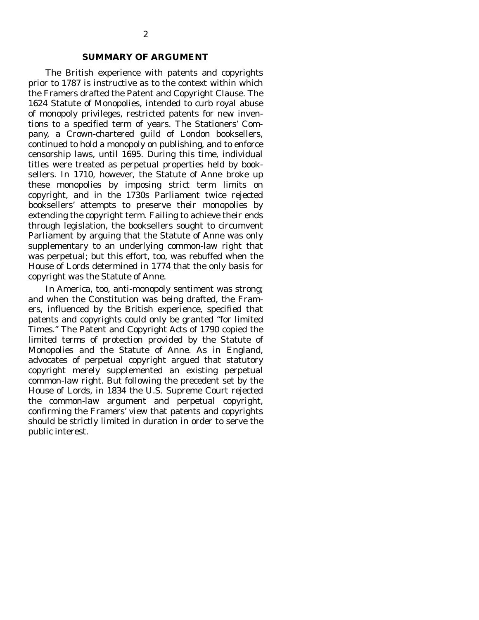#### **SUMMARY OF ARGUMENT**

 The British experience with patents and copyrights prior to 1787 is instructive as to the context within which the Framers drafted the Patent and Copyright Clause. The 1624 Statute of Monopolies, intended to curb royal abuse of monopoly privileges, restricted patents for new inventions to a specified term of years. The Stationers' Company, a Crown-chartered guild of London booksellers, continued to hold a monopoly on publishing, and to enforce censorship laws, until 1695. During this time, individual titles were treated as perpetual properties held by booksellers. In 1710, however, the Statute of Anne broke up these monopolies by imposing strict term limits on copyright, and in the 1730s Parliament twice rejected booksellers' attempts to preserve their monopolies by extending the copyright term. Failing to achieve their ends through legislation, the booksellers sought to circumvent Parliament by arguing that the Statute of Anne was only supplementary to an underlying common-law right that was perpetual; but this effort, too, was rebuffed when the House of Lords determined in 1774 that the only basis for copyright was the Statute of Anne.

 In America, too, anti-monopoly sentiment was strong; and when the Constitution was being drafted, the Framers, influenced by the British experience, specified that patents and copyrights could only be granted "for limited Times." The Patent and Copyright Acts of 1790 copied the limited terms of protection provided by the Statute of Monopolies and the Statute of Anne. As in England, advocates of perpetual copyright argued that statutory copyright merely supplemented an existing perpetual common-law right. But following the precedent set by the House of Lords, in 1834 the U.S. Supreme Court rejected the common-law argument and perpetual copyright, confirming the Framers' view that patents and copyrights should be strictly limited in duration in order to serve the public interest.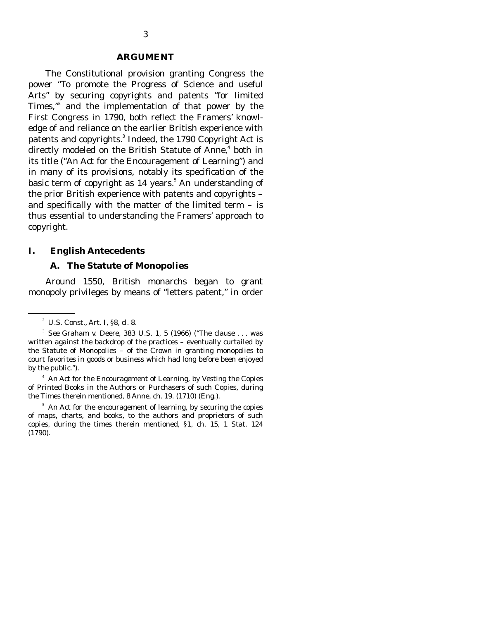#### **ARGUMENT**

 The Constitutional provision granting Congress the power "To promote the Progress of Science and useful Arts" by securing copyrights and patents "for limited Times,"<sup>2</sup> and the implementation of that power by the First Congress in 1790, both reflect the Framers' knowledge of and reliance on the earlier British experience with patents and copyrights.<sup>3</sup> Indeed, the 1790 Copyright Act is directly modeled on the British Statute of Anne,<sup>4</sup> both in its title ("An Act for the Encouragement of Learning") and in many of its provisions, notably its specification of the basic term of copyright as 14 years.<sup>5</sup> An understanding of the prior British experience with patents and copyrights – and specifically with the matter of the limited term – is thus essential to understanding the Framers' approach to copyright.

#### **I. English Antecedents**

#### **A. The Statute of Monopolies**

 Around 1550, British monarchs began to grant monopoly privileges by means of "letters patent," in order

<sup>2</sup> U.S. Const., Art. I, §8, cl. 8.

<sup>3</sup> *See* Graham v. Deere, 383 U.S. 1, 5 (1966) ("The clause . . . was written against the backdrop of the practices – eventually curtailed by the Statute of Monopolies – of the Crown in granting monopolies to court favorites in goods or business which had long before been enjoyed by the public.").

<sup>&</sup>lt;sup>4</sup> An Act for the Encouragement of Learning, by Vesting the Copies of Printed Books in the Authors or Purchasers of such Copies, during the Times therein mentioned, 8 Anne, ch. 19. (1710) (Eng.).

<sup>&</sup>lt;sup>5</sup> An Act for the encouragement of learning, by securing the copies of maps, charts, and books, to the authors and proprietors of such copies, during the times therein mentioned, §1, ch. 15, 1 Stat. 124 (1790).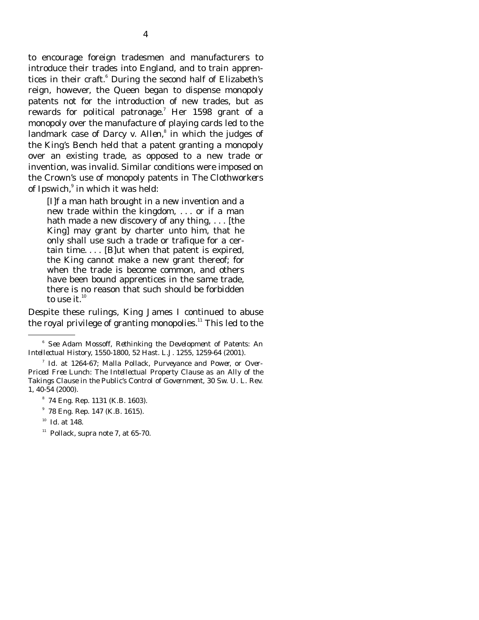to encourage foreign tradesmen and manufacturers to introduce their trades into England, and to train apprentices in their craft.<sup>6</sup> During the second half of Elizabeth's reign, however, the Queen began to dispense monopoly patents not for the introduction of new trades, but as rewards for political patronage.7 Her 1598 grant of a monopoly over the manufacture of playing cards led to the landmark case of *Darcy v. Allen*,<sup>8</sup> in which the judges of the King's Bench held that a patent granting a monopoly over an existing trade, as opposed to a new trade or invention, was invalid. Similar conditions were imposed on the Crown's use of monopoly patents in *The Clothworkers*  of Ipswich,<sup>9</sup> in which it was held:

[I]f a man hath brought in a new invention and a new trade within the kingdom, . . . or if a man hath made a new discovery of any thing, ... [the King] may grant by charter unto him, that he only shall use such a trade or trafique for a certain time.... [B] ut when that patent is expired, the King cannot make a new grant thereof; for when the trade is become common, and others have been bound apprentices in the same trade, there is no reason that such should be forbidden to use it. $10$ 

Despite these rulings, King James I continued to abuse the royal privilege of granting monopolies.<sup>11</sup> This led to the

<sup>6</sup> *See* Adam Mossoff, *Rethinking the Development of Patents: An Intellectual History, 1550-1800*, 52 Hast. L.J. 1255, 1259-64 (2001).

<sup>7</sup> *Id.* at 1264-67; Malla Pollack, *Purveyance and Power, or Over-Priced Free Lunch: The Intellectual Property Clause as an Ally of the Takings Clause in the Public's Control of Government*, 30 Sw. U. L. Rev. 1, 40-54 (2000).

<sup>8</sup> 74 Eng. Rep. 1131 (K.B. 1603).

<sup>9</sup> 78 Eng. Rep. 147 (K.B. 1615).

<sup>10</sup> *Id.* at 148.

11 Pollack, *supra* note 7, at 65-70.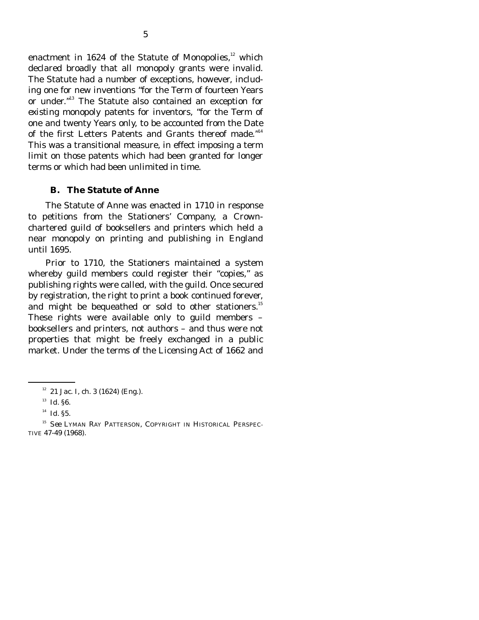enactment in 1624 of the Statute of Monopolies, $12$  which declared broadly that all monopoly grants were invalid. The Statute had a number of exceptions, however, including one for new inventions "for the Term of fourteen Years or under."13 The Statute also contained an exception for *existing* monopoly patents for inventors, "for the Term of one and twenty Years only, to be accounted from the Date of the first Letters Patents and Grants thereof made."14 This was a transitional measure, in effect imposing a term limit on those patents which had been granted for longer terms or which had been unlimited in time.

#### **B. The Statute of Anne**

 The Statute of Anne was enacted in 1710 in response to petitions from the Stationers' Company, a Crownchartered guild of booksellers and printers which held a near monopoly on printing and publishing in England until 1695.

 Prior to 1710, the Stationers maintained a system whereby guild members could register their "copies," as publishing rights were called, with the guild. Once secured by registration, the right to print a book continued forever, and might be bequeathed or sold to other stationers.<sup>15</sup> These rights were available only to guild members – booksellers and printers, not authors – and thus were not properties that might be freely exchanged in a public market. Under the terms of the Licensing Act of 1662 and

 $12$  21 Jac. I, ch. 3 (1624) (Eng.).

<sup>13</sup> *Id.* §6.

<sup>14</sup> *Id.* §5.

<sup>&</sup>lt;sup>15</sup> See LYMAN RAY PATTERSON, COPYRIGHT IN HISTORICAL PERSPEC-TIVE 47-49 (1968).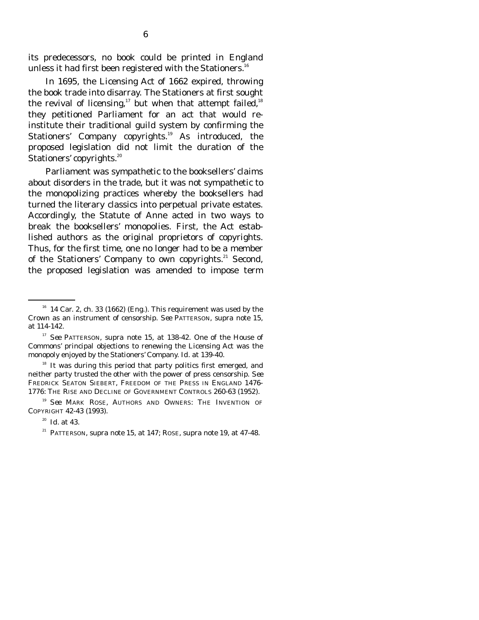its predecessors, no book could be printed in England unless it had first been registered with the Stationers.<sup>16</sup>

 In 1695, the Licensing Act of 1662 expired, throwing the book trade into disarray. The Stationers at first sought the revival of licensing,<sup>17</sup> but when that attempt failed,<sup>18</sup> they petitioned Parliament for an act that would reinstitute their traditional guild system by confirming the Stationers' Company copyrights.<sup>19</sup> As introduced, the proposed legislation did not limit the duration of the Stationers' copyrights.<sup>20</sup>

 Parliament was sympathetic to the booksellers' claims about disorders in the trade, but it was not sympathetic to the monopolizing practices whereby the booksellers had turned the literary classics into perpetual private estates. Accordingly, the Statute of Anne acted in two ways to break the booksellers' monopolies. First, the Act established authors as the original proprietors of copyrights. Thus, for the first time, one no longer had to be a member of the Stationers' Company to own copyrights.<sup>21</sup> Second, the proposed legislation was amended to impose term

 $18$  It was during this period that party politics first emerged, and neither party trusted the other with the power of press censorship. *See* FREDRICK SEATON SIEBERT, FREEDOM OF THE PRESS IN ENGLAND 1476- 1776: THE RISE AND DECLINE OF GOVERNMENT CONTROLS 260-63 (1952).

<sup>19</sup> *See* MARK ROSE, AUTHORS AND OWNERS: THE INVENTION OF COPYRIGHT 42-43 (1993).

 $16$  14 Car. 2, ch. 33 (1662) (Eng.). This requirement was used by the Crown as an instrument of censorship. *See* PATTERSON, *supra* note 15, at 114-142.

<sup>17</sup> *See* PATTERSON, *supra* note 15, at 138-42. One of the House of Commons' principal objections to renewing the Licensing Act was the monopoly enjoyed by the Stationers' Company. *Id.* at 139-40.

<sup>20</sup> *Id.* at 43.

21 PATTERSON, *supra* note 15, at 147; ROSE, *supra* note 19, at 47-48.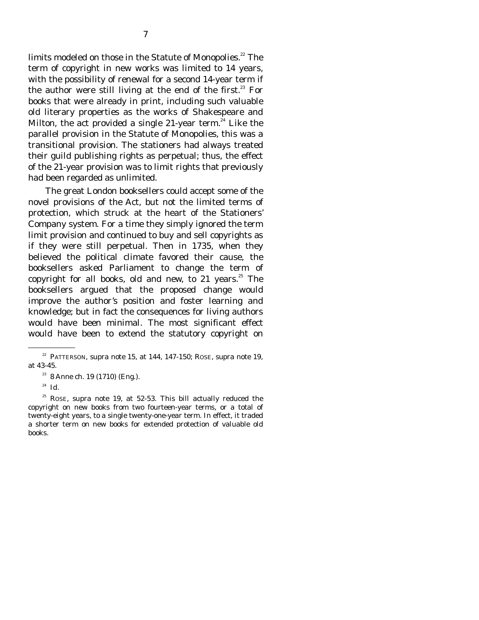limits modeled on those in the Statute of Monopolies.<sup>22</sup> The term of copyright in new works was limited to 14 years, with the possibility of renewal for a second 14-year term if the author were still living at the end of the first.<sup>23</sup> For books that were already in print, including such valuable old literary properties as the works of Shakespeare and Milton, the act provided a single 21-year term.<sup>24</sup> Like the parallel provision in the Statute of Monopolies, this was a transitional provision. The stationers had always treated their guild publishing rights as perpetual; thus, the effect of the 21-year provision was to limit rights that previously had been regarded as unlimited.

 The great London booksellers could accept some of the novel provisions of the Act, but not the limited terms of protection, which struck at the heart of the Stationers' Company system. For a time they simply ignored the term limit provision and continued to buy and sell copyrights as if they were still perpetual. Then in 1735, when they believed the political climate favored their cause, the booksellers asked Parliament to change the term of copyright for all books, old and new, to 21 years.<sup>25</sup> The booksellers argued that the proposed change would improve the author's position and foster learning and knowledge; but in fact the consequences for living authors would have been minimal. The most significant effect would have been to extend the statutory copyright on

<sup>&</sup>lt;sup>22</sup> PATTERSON, *supra* note 15, at 144, 147-150; ROSE, *supra* note 19, at 43-45.

 $23$  8 Anne ch. 19 (1710) (Eng.).

<sup>24</sup> *Id.*

25 ROSE, *supra* note 19, at 52-53. This bill actually reduced the copyright on new books from two fourteen-year terms, or a total of twenty-eight years, to a single twenty-one-year term. In effect, it traded a shorter term on new books for extended protection of valuable old books.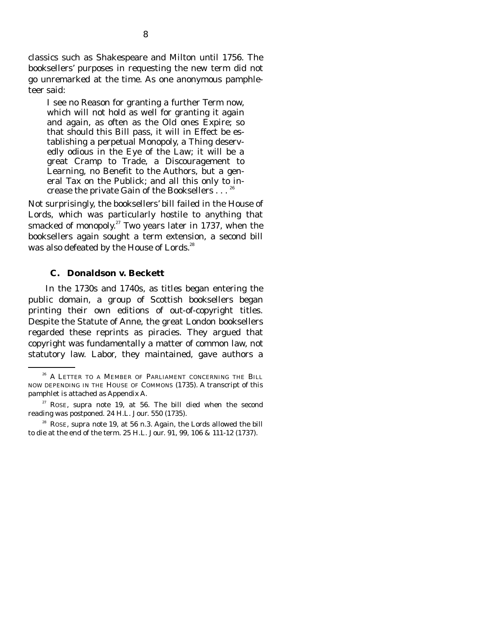classics such as Shakespeare and Milton until 1756. The booksellers' purposes in requesting the new term did not go unremarked at the time. As one anonymous pamphleteer said:

I see no Reason for granting a further Term now, which will not hold as well for granting it again and again, as often as the Old ones Expire; so that should this Bill pass, it will in Effect be establishing a perpetual Monopoly, a Thing deservedly odious in the Eye of the Law; it will be a great Cramp to Trade, a Discouragement to Learning, no Benefit to the Authors, but a general Tax on the Publick; and all this only to increase the private Gain of the Booksellers . . . 26

Not surprisingly, the booksellers' bill failed in the House of Lords, which was particularly hostile to anything that smacked of monopoly.<sup>27</sup> Two years later in 1737, when the booksellers again sought a term extension, a second bill was also defeated by the House of Lords.<sup>28</sup>

#### **C. Donaldson v. Beckett**

 In the 1730s and 1740s, as titles began entering the public domain, a group of Scottish booksellers began printing their own editions of out-of-copyright titles. Despite the Statute of Anne, the great London booksellers regarded these reprints as piracies. They argued that copyright was fundamentally a matter of common law, not statutory law. Labor, they maintained, gave authors a

<sup>&</sup>lt;sup>26</sup> A LETTER TO A MEMBER OF PARLIAMENT CONCERNING THE BILL NOW DEPENDING IN THE HOUSE OF COMMONS (1735). A transcript of this pamphlet is attached as Appendix A.

27 ROSE, *supra* note 19, at 56. The bill died when the second reading was postponed. 24 H.L. Jour. 550 (1735).

28 ROSE, *supra* note 19, at 56 n.3. Again, the Lords allowed the bill to die at the end of the term. 25 H.L. Jour. 91, 99, 106 & 111-12 (1737).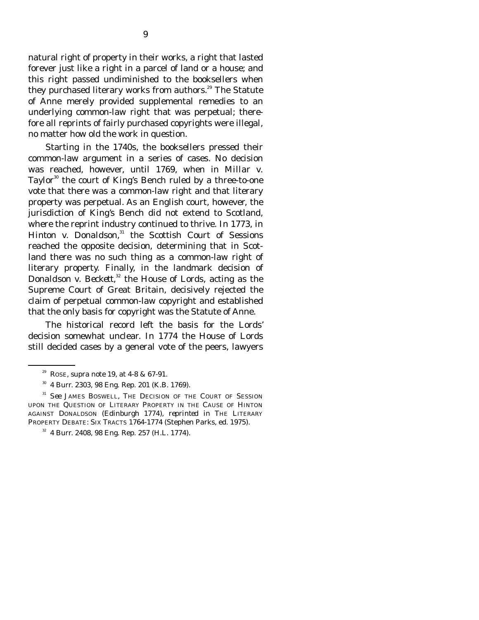natural right of property in their works, a right that lasted forever just like a right in a parcel of land or a house; and this right passed undiminished to the booksellers when they purchased literary works from authors.<sup>29</sup> The Statute of Anne merely provided supplemental remedies to an underlying common-law right that was perpetual; therefore all reprints of fairly purchased copyrights were illegal, no matter how old the work in question.

 Starting in the 1740s, the booksellers pressed their common-law argument in a series of cases. No decision was reached, however, until 1769, when in *Millar v. Taylor*<sup>30</sup> the court of King's Bench ruled by a three-to-one vote that there was a common-law right and that literary property was perpetual. As an English court, however, the jurisdiction of King's Bench did not extend to Scotland, where the reprint industry continued to thrive. In 1773, in *Hinton v. Donaldson*, 31 the Scottish Court of Sessions reached the opposite decision, determining that in Scotland there was no such thing as a common-law right of literary property. Finally, in the landmark decision of *Donaldson v. Beckett*, 32 the House of Lords, acting as the Supreme Court of Great Britain, decisively rejected the claim of perpetual common-law copyright and established that the only basis for copyright was the Statute of Anne.

 The historical record left the basis for the Lords' decision somewhat unclear. In 1774 the House of Lords still decided cases by a general vote of the peers, lawyers

<sup>31</sup> See JAMES BOSWELL, THE DECISION OF THE COURT OF SESSION UPON THE QUESTION OF LITERARY PROPERTY IN THE CAUSE OF HINTON AGAINST DONALDSON (Edinburgh 1774), *reprinted in* THE LITERARY PROPERTY DEBATE: SIX TRACTS 1764-1774 (Stephen Parks, ed. 1975).

29 ROSE, *supra* note 19, at 4-8 & 67-91.

30 4 Burr. 2303, 98 Eng. Rep. 201 (K.B. 1769).

 $32$  4 Burr. 2408, 98 Eng. Rep. 257 (H.L. 1774).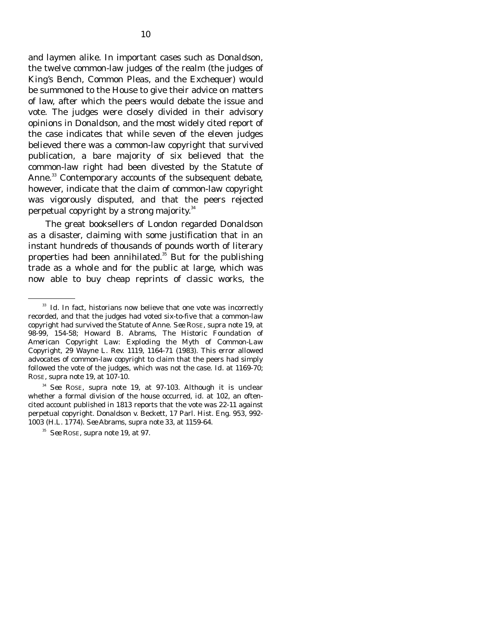and laymen alike. In important cases such as *Donaldson*, the twelve common-law judges of the realm (the judges of King's Bench, Common Pleas, and the Exchequer) would be summoned to the House to give their advice on matters of law, after which the peers would debate the issue and vote. The judges were closely divided in their advisory opinions in *Donaldson*, and the most widely cited report of the case indicates that while seven of the eleven judges believed there was a common-law copyright that survived publication, a bare majority of six believed that the common-law right had been divested by the Statute of Anne.<sup>33</sup> Contemporary accounts of the subsequent debate, however, indicate that the claim of common-law copyright was vigorously disputed, and that the peers rejected perpetual copyright by a strong majority.<sup>34</sup>

 The great booksellers of London regarded *Donaldson* as a disaster, claiming with some justification that in an instant hundreds of thousands of pounds worth of literary properties had been annihilated. $35$  But for the publishing trade as a whole and for the public at large, which was now able to buy cheap reprints of classic works, the

<sup>&</sup>lt;sup>33</sup> *Id.* In fact, historians now believe that one vote was incorrectly recorded, and that the judges had voted six-to-five that a common-law copyright had survived the Statute of Anne. *See* ROSE, *supra* note 19, at 98-99, 154-58; Howard B. Abrams, *The Historic Foundation of American Copyright Law: Exploding the Myth of Common-Law Copyright*, 29 Wayne L. Rev. 1119, 1164-71 (1983). This error allowed advocates of common-law copyright to claim that the peers had simply followed the vote of the judges, which was not the case. *Id.* at 1169-70; ROSE, *supra* note 19, at 107-10.

<sup>34</sup> *See* ROSE, *supra* note 19, at 97-103. Although it is unclear whether a formal division of the house occurred, *id.* at 102, an oftencited account published in 1813 reports that the vote was 22-11 against perpetual copyright. Donaldson v. Beckett, 17 Parl. Hist. Eng. 953, 992- 1003 (H.L. 1774). *See* Abrams, *supra* note 33, at 1159-64.

<sup>35</sup> *See* ROSE, *supra* note 19, at 97.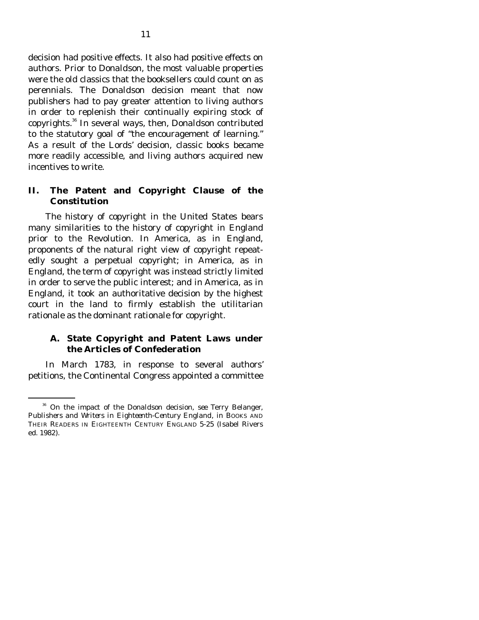decision had positive effects. It also had positive effects on authors. Prior to *Donaldson*, the most valuable properties were the old classics that the booksellers could count on as perennials. The *Donaldson* decision meant that now publishers had to pay greater attention to living authors in order to replenish their continually expiring stock of copyrights.36 In several ways, then, *Donaldson* contributed to the statutory goal of "the encouragement of learning." As a result of the Lords' decision, classic books became more readily accessible, and living authors acquired new incentives to write.

### **II. The Patent and Copyright Clause of the Constitution**

 The history of copyright in the United States bears many similarities to the history of copyright in England prior to the Revolution. In America, as in England, proponents of the natural right view of copyright repeatedly sought a perpetual copyright; in America, as in England, the term of copyright was instead strictly limited in order to serve the public interest; and in America, as in England, it took an authoritative decision by the highest court in the land to firmly establish the utilitarian rationale as the dominant rationale for copyright.

### **A. State Copyright and Patent Laws under the Articles of Confederation**

 In March 1783, in response to several authors' petitions, the Continental Congress appointed a committee

36 On the impact of the *Donaldson* decision, *see* Terry Belanger, *Publishers and Writers in Eighteenth-Century England*, in BOOKS AND THEIR READERS IN EIGHTEENTH CENTURY ENGLAND 5-25 (Isabel Rivers ed. 1982).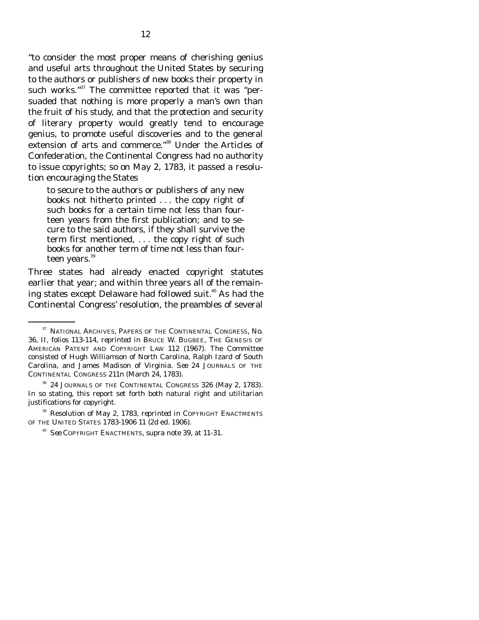"to consider the most proper means of cherishing genius and useful arts throughout the United States by securing to the authors or publishers of new books their property in such works."<sup>37</sup> The committee reported that it was "persuaded that nothing is more properly a man's own than the fruit of his study, and that the protection and security of literary property would greatly tend to encourage genius, to promote useful discoveries and to the general extension of arts and commerce."38 Under the Articles of Confederation, the Continental Congress had no authority to issue copyrights; so on May 2, 1783, it passed a resolution encouraging the States

to secure to the authors or publishers of any new books not hitherto printed . . . the copy right of such books for a certain time not less than fourteen years from the first publication; and to secure to the said authors, if they shall survive the term first mentioned, . . . the copy right of such books for another term of time not less than fourteen years.<sup>39</sup>

Three states had already enacted copyright statutes earlier that year; and within three years all of the remaining states except Delaware had followed suit.<sup>40</sup> As had the Continental Congress' resolution, the preambles of several

<sup>&</sup>lt;sup>37</sup> NATIONAL ARCHIVES, PAPERS OF THE CONTINENTAL CONGRESS, No. 36, II, folios 113-114, *reprinted in* BRUCE W. BUGBEE, THE GENESIS OF AMERICAN PATENT AND COPYRIGHT LAW 112 (1967). The Committee consisted of Hugh Williamson of North Carolina, Ralph Izard of South Carolina, and James Madison of Virginia. *See* 24 JOURNALS OF THE CONTINENTAL CONGRESS 211n (March 24, 1783).

<sup>&</sup>lt;sup>38</sup> 24 JOURNALS OF THE CONTINENTAL CONGRESS 326 (May 2, 1783). In so stating, this report set forth both natural right and utilitarian justifications for copyright.

39 Resolution of May 2, 1783, *reprinted in* COPYRIGHT ENACTMENTS OF THE UNITED STATES 1783-1906 11 (2d ed. 1906).

<sup>40</sup> *See* COPYRIGHT ENACTMENTS, *supra* note 39, at 11-31.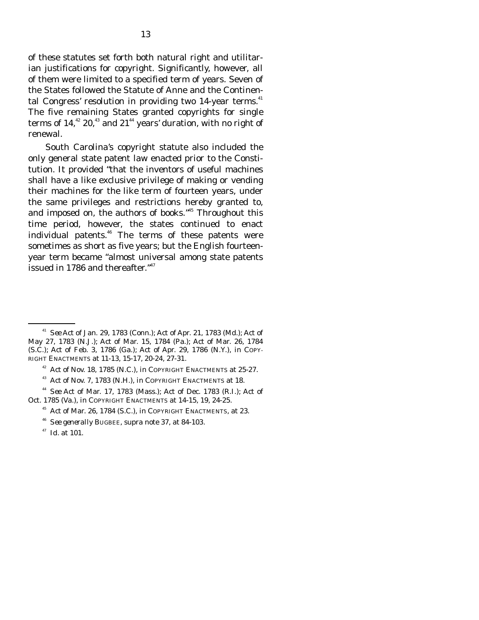of these statutes set forth both natural right and utilitarian justifications for copyright. Significantly, however, all of them were limited to a specified term of years. Seven of the States followed the Statute of Anne and the Continental Congress' resolution in providing two 14-year terms. $41$ The five remaining States granted copyrights for single terms of  $14,^{42}$   $20,^{43}$  and  $21^{44}$  years' duration, with no right of renewal.

 South Carolina's copyright statute also included the only general state patent law enacted prior to the Constitution. It provided "that the inventors of useful machines shall have a like exclusive privilege of making or vending their machines for the like term of fourteen years, under the same privileges and restrictions hereby granted to, and imposed on, the authors of books."45 Throughout this time period, however, the states continued to enact individual patents.<sup>46</sup> The terms of these patents were sometimes as short as five years; but the English fourteenyear term became "almost universal among state patents issued in 1786 and thereafter."<sup>47</sup>

 <sup>44</sup> *See* Act of Mar. 17, 1783 (Mass.); Act of Dec. 1783 (R.I.); Act of Oct. 1785 (Va.), *in* COPYRIGHT ENACTMENTS at 14-15, 19, 24-25.

<sup>41</sup> *See* Act of Jan. 29, 1783 (Conn.); Act of Apr. 21, 1783 (Md.); Act of May 27, 1783 (N.J.); Act of Mar. 15, 1784 (Pa.); Act of Mar. 26, 1784 (S.C.); Act of Feb. 3, 1786 (Ga.); Act of Apr. 29, 1786 (N.Y.), *in* COPY-RIGHT ENACTMENTS at 11-13, 15-17, 20-24, 27-31.

<sup>&</sup>lt;sup>42</sup> Act of Nov. 18, 1785 (N.C.), *in* COPYRIGHT ENACTMENTS at 25-27.

<sup>&</sup>lt;sup>43</sup> Act of Nov. 7, 1783 (N.H.), *in* COPYRIGHT ENACTMENTS at 18.

45 Act of Mar. 26, 1784 (S.C.), *in* COPYRIGHT ENACTMENTS, at 23.

<sup>46</sup> *See generally* BUGBEE, *supra* note 37, at 84-103.

<sup>47</sup> *Id.* at 101.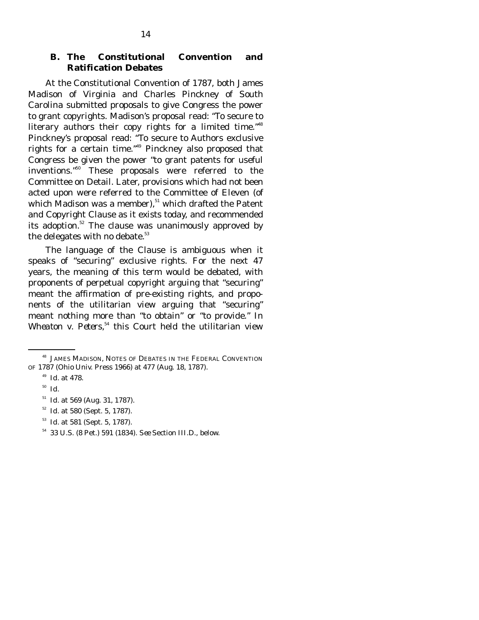### **B. The Constitutional Convention and Ratification Debates**

 At the Constitutional Convention of 1787, both James Madison of Virginia and Charles Pinckney of South Carolina submitted proposals to give Congress the power to grant copyrights. Madison's proposal read: "To secure to literary authors their copy rights for a limited time."<sup>48</sup> Pinckney's proposal read: "To secure to Authors exclusive rights for a certain time."49 Pinckney also proposed that Congress be given the power "to grant patents for useful inventions."50 These proposals were referred to the Committee on Detail. Later, provisions which had not been acted upon were referred to the Committee of Eleven (of which Madison was a member), $51$  which drafted the Patent and Copyright Clause as it exists today, and recommended its adoption.<sup>52</sup> The clause was unanimously approved by the delegates with no debate.<sup>53</sup>

 The language of the Clause is ambiguous when it speaks of "securing" exclusive rights. For the next 47 years, the meaning of this term would be debated, with proponents of perpetual copyright arguing that "securing" meant the affirmation of pre-existing rights, and proponents of the utilitarian view arguing that "securing" meant nothing more than "to obtain" or "to provide." In Wheaton v. Peters,<sup>54</sup> this Court held the utilitarian view

<sup>53</sup> *Id.* at 581 (Sept. 5, 1787).

 $^{48}\,$  JAMES MADISON, NOTES OF DEBATES IN THE FEDERAL CONVENTION OF 1787 (Ohio Univ. Press 1966) at 477 (Aug. 18, 1787).

<sup>49</sup> *Id.* at 478.

<sup>50</sup> *Id.*

<sup>51</sup> *Id.* at 569 (Aug. 31, 1787).

<sup>52</sup> *Id.* at 580 (Sept. 5, 1787).

54 33 U.S. (8 Pet.) 591 (1834). *See* Section III.D., below.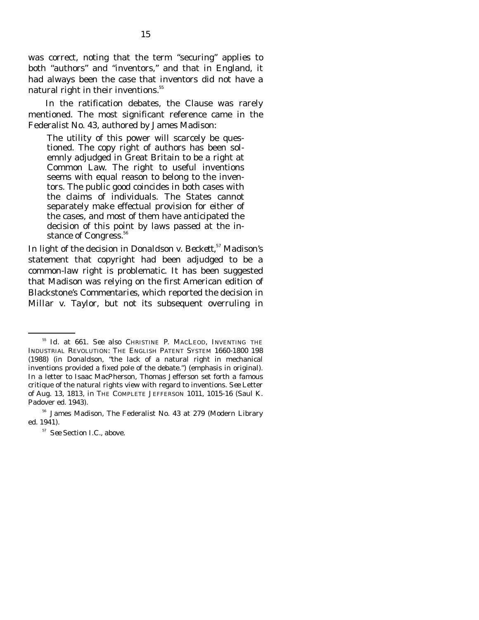was correct, noting that the term "securing" applies to both "authors" and "inventors," and that in England, it had always been the case that inventors did not have a natural right in their inventions.<sup>55</sup>

 In the ratification debates, the Clause was rarely mentioned. The most significant reference came in the Federalist No. 43, authored by James Madison:

The utility of this power will scarcely be questioned. The copy right of authors has been solemnly adjudged in Great Britain to be a right at Common Law. The right to useful inventions seems with equal reason to belong to the inventors. The public good coincides in both cases with the claims of individuals. The States cannot separately make effectual provision for either of the cases, and most of them have anticipated the decision of this point by laws passed at the instance of Congress.<sup>56</sup>

In light of the decision in *Donaldson v. Beckett*, 57 Madison's statement that copyright had been adjudged to be a common-law right is problematic. It has been suggested that Madison was relying on the first American edition of Blackstone's *Commentaries*, which reported the decision in *Millar v. Taylor*, but not its subsequent overruling in

<sup>55</sup> *Id.* at 661. *See also* CHRISTINE P. MACLEOD, INVENTING THE INDUSTRIAL REVOLUTION: THE ENGLISH PATENT SYSTEM 1660-1800 198 (1988) (in *Donaldson*, "the *lack* of a natural right in mechanical inventions provided a fixed pole of the debate.") (emphasis in original). In a letter to Isaac MacPherson, Thomas Jefferson set forth a famous critique of the natural rights view with regard to inventions. *See* Letter of Aug. 13, 1813, *in* THE COMPLETE JEFFERSON 1011, 1015-16 (Saul K. Padover ed. 1943).

<sup>&</sup>lt;sup>56</sup> James Madison, The Federalist No. 43 at 279 (Modern Library ed. 1941).

<sup>57</sup> *See* Section I.C., above.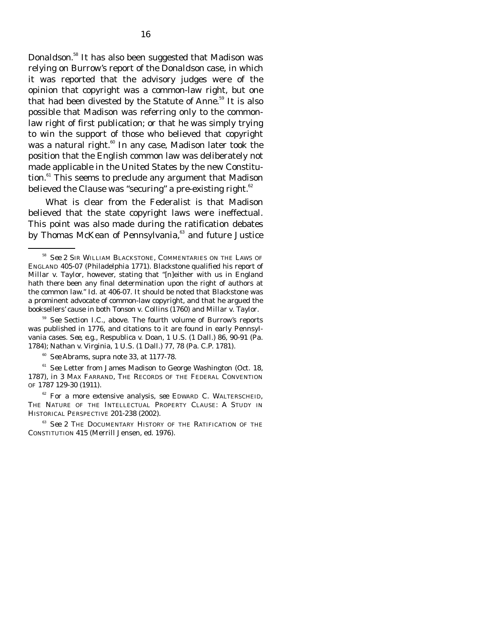*Donaldson*. 58 It has also been suggested that Madison was relying on Burrow's report of the *Donaldson* case, in which it was reported that the advisory judges were of the opinion that copyright was a common-law right, but one that had been divested by the Statute of Anne.<sup>59</sup> It is also possible that Madison was referring only to the commonlaw right of first publication; or that he was simply trying to win the support of those who believed that copyright was a natural right.<sup>60</sup> In any case, Madison later took the position that the English common law was deliberately not made applicable in the United States by the new Constitution.<sup>61</sup> This seems to preclude any argument that Madison believed the Clause was "securing" a pre-existing right. $62$ 

 What is clear from the Federalist is that Madison believed that the state copyright laws were ineffectual. This point was also made during the ratification debates by Thomas McKean of Pennsylvania,<sup>63</sup> and future Justice

<sup>61</sup> *See* Letter from James Madison to George Washington (Oct. 18, 1787), *in* 3 MAX FARRAND, THE RECORDS OF THE FEDERAL CONVENTION OF 1787 129-30 (1911).

 62 For a more extensive analysis, *see* EDWARD C. WALTERSCHEID, THE NATURE OF THE INTELLECTUAL PROPERTY CLAUSE: A STUDY IN HISTORICAL PERSPECTIVE 201-238 (2002).

<sup>58</sup> *See* 2 SIR WILLIAM BLACKSTONE, COMMENTARIES ON THE LAWS OF ENGLAND 405-07 (Philadelphia 1771). Blackstone qualified his report of *Millar v. Taylor*, however, stating that "[n]either with us in England hath there been any final determination upon the right of authors at the common law." *Id.* at 406-07. It should be noted that Blackstone was a prominent advocate of common-law copyright, and that he argued the booksellers' cause in both *Tonson v. Collins* (1760) and *Millar v. Taylor*.

<sup>59</sup> *See* Section I.C., above. The fourth volume of Burrow's reports was published in 1776, and citations to it are found in early Pennsylvania cases. *See, e.g.,* Respublica v. Doan, 1 U.S. (1 Dall.) 86, 90-91 (Pa. 1784); Nathan v. Virginia, 1 U.S. (1 Dall.) 77, 78 (Pa. C.P. 1781).

<sup>60</sup> *See* Abrams, *supra* note 33, at 1177-78.

<sup>&</sup>lt;sup>63</sup> See 2 THE DOCUMENTARY HISTORY OF THE RATIFICATION OF THE CONSTITUTION 415 (Merrill Jensen, ed. 1976).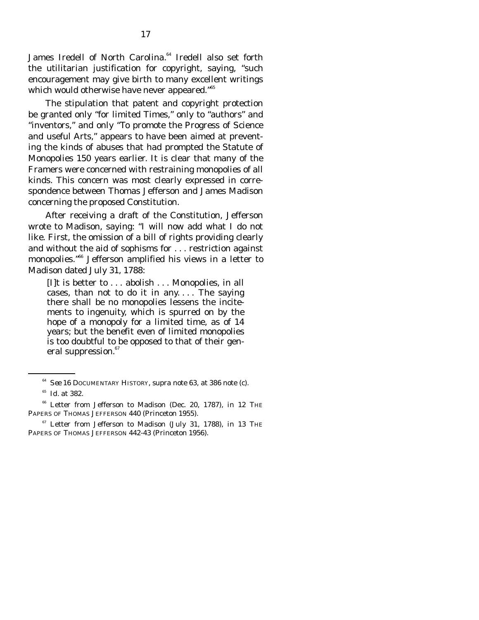James Iredell of North Carolina.<sup>64</sup> Iredell also set forth the utilitarian justification for copyright, saying, "such encouragement may give birth to many excellent writings which would otherwise have never appeared."<sup>65</sup>

 The stipulation that patent and copyright protection be granted only "for limited Times," only to "authors" and "inventors," and only "To promote the Progress of Science and useful Arts," appears to have been aimed at preventing the kinds of abuses that had prompted the Statute of Monopolies 150 years earlier. It is clear that many of the Framers were concerned with restraining monopolies of all kinds. This concern was most clearly expressed in correspondence between Thomas Jefferson and James Madison concerning the proposed Constitution.

 After receiving a draft of the Constitution, Jefferson wrote to Madison, saying: "I will now add what I do not like. First, the omission of a bill of rights providing clearly and without the aid of sophisms for . . . restriction against monopolies."<sup>66</sup> Jefferson amplified his views in a letter to Madison dated July 31, 1788:

[I]t is better to . . . abolish . . . Monopolies, in all cases, than not to do it in any. . . . The saying there shall be no monopolies lessens the incitements to ingenuity, which is spurred on by the hope of a monopoly for a limited time, as of 14 years; but the benefit even of limited monopolies is too doubtful to be opposed to that of their general suppression.<sup>67</sup>

<sup>64</sup> *See* 16 DOCUMENTARY HISTORY, *supra* note 63, at 386 note (c).

<sup>65</sup> *Id.* at 382.

66 Letter from Jefferson to Madison (Dec. 20, 1787), *in* 12 THE PAPERS OF THOMAS JEFFERSON 440 (Princeton 1955).

<sup>&</sup>lt;sup>67</sup> Letter from Jefferson to Madison (July 31, 1788), *in* 13 THE PAPERS OF THOMAS JEFFERSON 442-43 (Princeton 1956).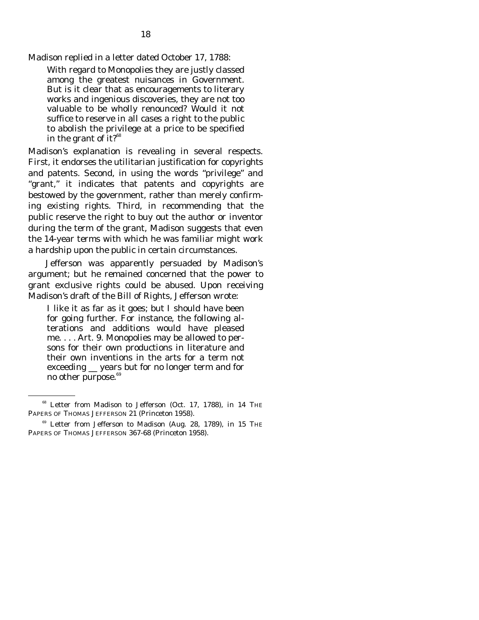Madison replied in a letter dated October 17, 1788:

With regard to Monopolies they are justly classed among the greatest nuisances in Government. But is it clear that as encouragements to literary works and ingenious discoveries, they are not too valuable to be wholly renounced? Would it not suffice to reserve in all cases a right to the public to abolish the privilege at a price to be specified in the grant of it? $68$ 

Madison's explanation is revealing in several respects. First, it endorses the utilitarian justification for copyrights and patents. Second, in using the words "privilege" and "grant," it indicates that patents and copyrights are bestowed by the government, rather than merely confirming existing rights. Third, in recommending that the public reserve the right to buy out the author or inventor during the term of the grant, Madison suggests that even the 14-year terms with which he was familiar might work a hardship upon the public in certain circumstances.

 Jefferson was apparently persuaded by Madison's argument; but he remained concerned that the power to grant exclusive rights could be abused. Upon receiving Madison's draft of the Bill of Rights, Jefferson wrote:

I like it as far as it goes; but I should have been for going further. For instance, the following alterations and additions would have pleased me. . . . Art. 9. Monopolies may be allowed to persons for their own productions in literature and their own inventions in the arts for a term not exceeding \_\_ years but for no longer term and for no other purpose.<sup>69</sup>

68 Letter from Madison to Jefferson (Oct. 17, 1788), *in* 14 THE PAPERS OF THOMAS JEFFERSON 21 (Princeton 1958).

69 Letter from Jefferson to Madison (Aug. 28, 1789), *in* 15 THE PAPERS OF THOMAS JEFFERSON 367-68 (Princeton 1958).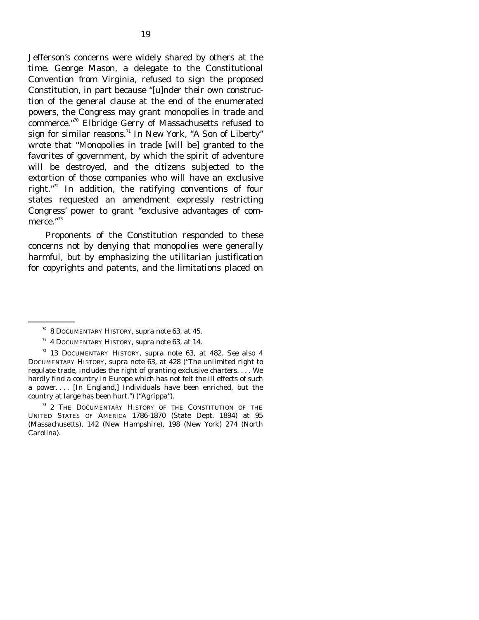Jefferson's concerns were widely shared by others at the time. George Mason, a delegate to the Constitutional Convention from Virginia, refused to sign the proposed Constitution, in part because "[u]nder their own construction of the general clause at the end of the enumerated powers, the Congress may grant monopolies in trade and commerce."70 Elbridge Gerry of Massachusetts refused to sign for similar reasons.<sup>71</sup> In New York, "A Son of Liberty" wrote that "Monopolies in trade [will be] granted to the favorites of government, by which the spirit of adventure will be destroyed, and the citizens subjected to the extortion of those companies who will have an exclusive right."72 In addition, the ratifying conventions of four states requested an amendment expressly restricting Congress' power to grant "exclusive advantages of commerce."<sup>73</sup>

 Proponents of the Constitution responded to these concerns not by denying that monopolies were generally harmful, but by emphasizing the utilitarian justification for copyrights and patents, and the limitations placed on

70 8 DOCUMENTARY HISTORY, *supra* note 63, at 45.

71 4 DOCUMENTARY HISTORY, *supra* note 63, at 14.

72 13 DOCUMENTARY HISTORY, *supra* note 63, at 482. *See also* 4 DOCUMENTARY HISTORY, *supra* note 63, at 428 ("The unlimited right to regulate trade, includes the right of granting exclusive charters. . . . We hardly find a country in Europe which has not felt the ill effects of such a power.... [In England,] Individuals have been enriched, but the country at large has been hurt.") ("Agrippa").

<sup>&</sup>lt;sup>73</sup> 2 THE DOCUMENTARY HISTORY OF THE CONSTITUTION OF THE UNITED STATES OF AMERICA 1786-1870 (State Dept. 1894) at 95 (Massachusetts), 142 (New Hampshire), 198 (New York) 274 (North Carolina).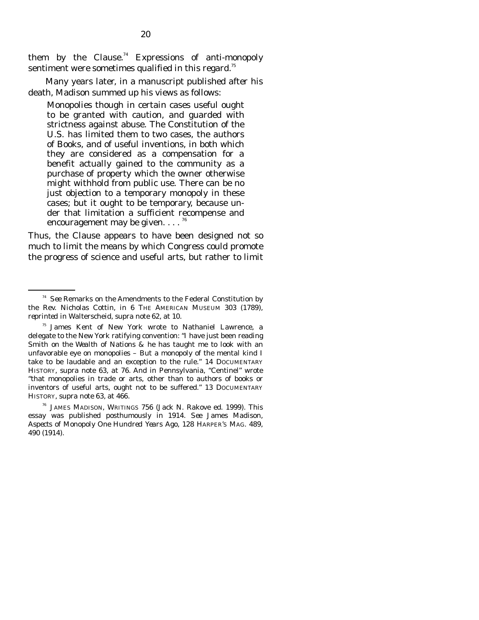them by the Clause.<sup>74</sup> Expressions of anti-monopoly sentiment were sometimes qualified in this regard.<sup>75</sup>

 Many years later, in a manuscript published after his death, Madison summed up his views as follows:

Monopolies though in certain cases useful ought to be granted with caution, and guarded with strictness against abuse. The Constitution of the U.S. has limited them to two cases, the authors of Books, and of useful inventions, in both which they are considered as a compensation for a benefit actually gained to the community as a purchase of property which the owner otherwise might withhold from public use. There can be no just objection to a temporary monopoly in these cases; but it ought to be temporary, because under that limitation a sufficient recompense and encouragement may be given.  $\ldots$ <sup>7</sup>

Thus, the Clause appears to have been designed not so much to limit the means by which Congress could promote the progress of science and useful arts, but rather to limit

 76 JAMES MADISON, WRITINGS 756 (Jack N. Rakove ed. 1999). This essay was published posthumously in 1914. *See* James Madison, *Aspects of Monopoly One Hundred Years Ago*, 128 HARPER'S MAG. 489, 490 (1914).

<sup>&</sup>lt;sup>74</sup> *See* Remarks on the Amendments to the Federal Constitution by the Rev. Nicholas Cottin, *in* 6 THE AMERICAN MUSEUM 303 (1789), *reprinted in* Walterscheid, *supra* note 62, at 10.

<sup>&</sup>lt;sup>75</sup> James Kent of New York wrote to Nathaniel Lawrence, a delegate to the New York ratifying convention: "I have just been reading Smith *on the Wealth of Nations* & he has taught me to look with an unfavorable eye on monopolies – But a monopoly of the mental kind I take to be laudable and an exception to the rule." 14 DOCUMENTARY HISTORY, *supra* note 63, at 76. And in Pennsylvania, "Centinel" wrote "that monopolies in trade or arts, other than to authors of books or inventors of useful arts, ought not to be suffered." 13 DOCUMENTARY HISTORY, *supra* note 63, at 466.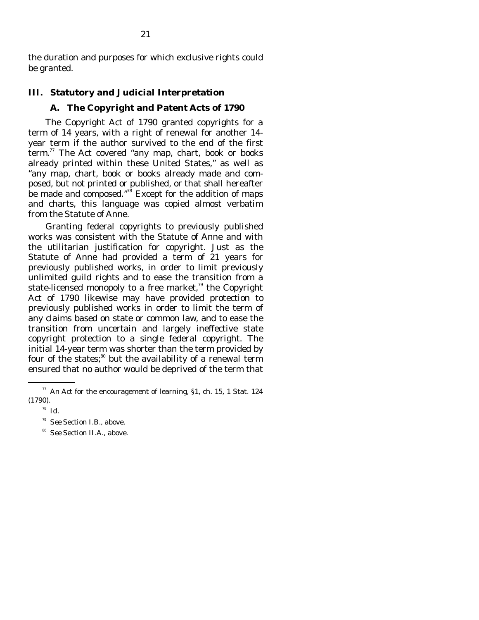#### **III. Statutory and Judicial Interpretation**

### **A. The Copyright and Patent Acts of 1790**

 The Copyright Act of 1790 granted copyrights for a term of 14 years, with a right of renewal for another 14 year term if the author survived to the end of the first term.<sup>77</sup> The Act covered "any map, chart, book or books already printed within these United States," as well as "any map, chart, book or books already made and composed, but not printed or published, or that shall hereafter be made and composed."<sup>78</sup> Except for the addition of maps and charts, this language was copied almost verbatim from the Statute of Anne.

 Granting federal copyrights to previously published works was consistent with the Statute of Anne and with the utilitarian justification for copyright. Just as the Statute of Anne had provided a term of 21 years for previously published works, in order to limit previously unlimited guild rights and to ease the transition from a state-licensed monopoly to a free market, $79$  the Copyright Act of 1790 likewise may have provided protection to previously published works in order to limit the term of any claims based on state or common law, and to ease the transition from uncertain and largely ineffective state copyright protection to a single federal copyright. The initial 14-year term was shorter than the term provided by four of the states;<sup>80</sup> but the availability of a renewal term ensured that no author would be deprived of the term that

 $77$  An Act for the encouragement of learning, §1, ch. 15, 1 Stat. 124 (1790).

<sup>78</sup> *Id*.

<sup>79</sup> *See* Section I.B., above.

<sup>80</sup> *See* Section II.A., above.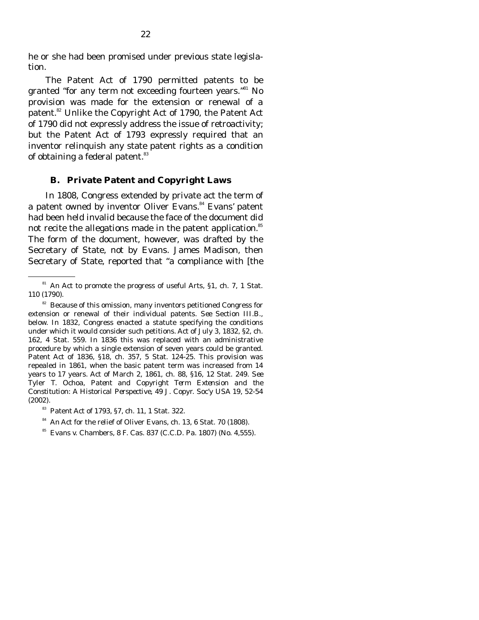he or she had been promised under previous state legislation.

 The Patent Act of 1790 permitted patents to be granted "for any term not exceeding fourteen years."<sup>81</sup> No provision was made for the extension or renewal of a patent.82 Unlike the Copyright Act of 1790, the Patent Act of 1790 did not expressly address the issue of retroactivity; but the Patent Act of 1793 expressly required that an inventor relinquish any state patent rights as a condition of obtaining a federal patent.<sup>83</sup>

#### **B. Private Patent and Copyright Laws**

 In 1808, Congress extended by private act the term of a patent owned by inventor Oliver Evans.<sup>84</sup> Evans' patent had been held invalid because the face of the document did not recite the allegations made in the patent application.<sup>85</sup> The form of the document, however, was drafted by the Secretary of State, not by Evans. James Madison, then Secretary of State, reported that "a compliance with [the

 $81$  An Act to promote the progress of useful Arts, §1, ch. 7, 1 Stat. 110 (1790).

<sup>&</sup>lt;sup>82</sup> Because of this omission, many inventors petitioned Congress for extension or renewal of their individual patents. *See* Section III.B., below. In 1832, Congress enacted a statute specifying the conditions under which it would consider such petitions. Act of July 3, 1832, §2, ch. 162, 4 Stat. 559. In 1836 this was replaced with an administrative procedure by which a single extension of seven years could be granted. Patent Act of 1836, §18, ch. 357, 5 Stat. 124-25. This provision was repealed in 1861, when the basic patent term was increased from 14 years to 17 years. Act of March 2, 1861, ch. 88, §16, 12 Stat. 249. *See* Tyler T. Ochoa, *Patent and Copyright Term Extension and the Constitution: A Historical Perspective*, 49 J. Copyr. Soc'y USA 19, 52-54 (2002).

83 Patent Act of 1793, §7, ch. 11, 1 Stat. 322.

<sup>&</sup>lt;sup>84</sup> An Act for the relief of Oliver Evans, ch. 13, 6 Stat. 70 (1808).

85 Evans v. Chambers, 8 F. Cas. 837 (C.C.D. Pa. 1807) (No. 4,555).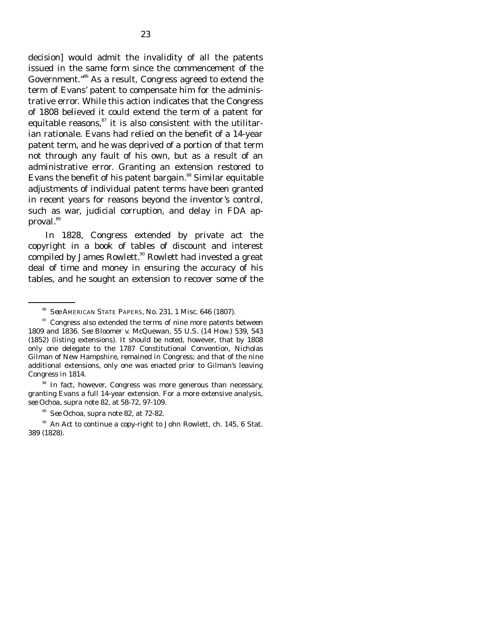decision] would admit the invalidity of all the patents issued in the same form since the commencement of the Government."86 As a result, Congress agreed to extend the term of Evans' patent to compensate him for the administrative error. While this action indicates that the Congress of 1808 believed it could extend the term of a patent for equitable reasons, $87$  it is also consistent with the utilitarian rationale. Evans had relied on the benefit of a 14-year patent term, and he was deprived of a portion of that term not through any fault of his own, but as a result of an administrative error. Granting an extension restored to Evans the benefit of his patent bargain.<sup>88</sup> Similar equitable adjustments of individual patent terms have been granted in recent years for reasons beyond the inventor's control, such as war, judicial corruption, and delay in FDA approval.<sup>89</sup>

 In 1828, Congress extended by private act the copyright in a book of tables of discount and interest compiled by James Rowlett.<sup>90</sup> Rowlett had invested a great deal of time and money in ensuring the accuracy of his tables, and he sought an extension to recover some of the

<sup>88</sup> In fact, however, Congress was more generous than necessary, granting Evans a full 14-year extension. For a more extensive analysis, *see* Ochoa, *supra* note 82, at 58-72, 97-109.

 $90$  An Act to continue a copy-right to John Rowlett, ch. 145, 6 Stat. 389 (1828).

<sup>86</sup> *See* AMERICAN STATE PAPERS, No. 231, 1 Misc. 646 (1807).

 $87$  Congress also extended the terms of nine more patents between 1809 and 1836. *See* Bloomer v. McQuewan, 55 U.S. (14 How.) 539, 543 (1852) (listing extensions). It should be noted, however, that by 1808 only one delegate to the 1787 Constitutional Convention, Nicholas Gilman of New Hampshire, remained in Congress; and that of the nine additional extensions, only one was enacted prior to Gilman's leaving Congress in 1814.

<sup>89</sup> *See* Ochoa, *supra* note 82, at 72-82.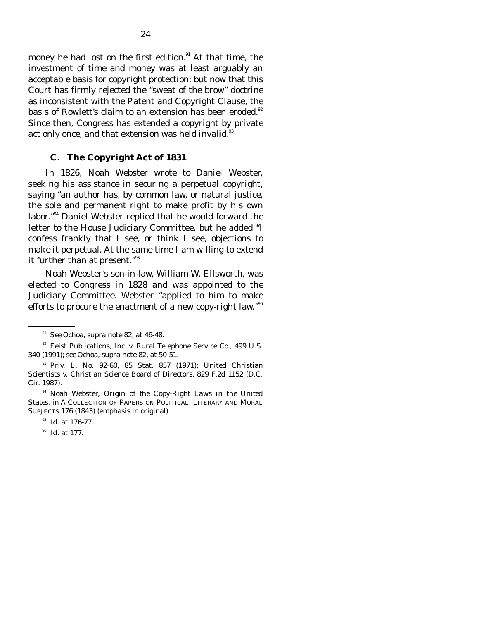money he had lost on the first edition.<sup>91</sup> At that time, the investment of time and money was at least arguably an acceptable basis for copyright protection; but now that this Court has firmly rejected the "sweat of the brow" doctrine as inconsistent with the Patent and Copyright Clause, the basis of Rowlett's claim to an extension has been eroded.<sup>92</sup> Since then, Congress has extended a copyright by private act only once, and that extension was held invalid.<sup>93</sup>

#### **C. The Copyright Act of 1831**

 In 1826, Noah Webster wrote to Daniel Webster, seeking his assistance in securing a perpetual copyright, saying "an author has, by common law, or natural justice, the sole and *permanent* right to make profit by his own labor."94 Daniel Webster replied that he would forward the letter to the House Judiciary Committee, but he added "I confess frankly that I see, or think I see, objections to make it perpetual. At the same time I am willing to extend it further than at present."95

 Noah Webster's son-in-law, William W. Ellsworth, was elected to Congress in 1828 and was appointed to the Judiciary Committee. Webster "applied to him to make efforts to procure the enactment of a new copy-right law."96

<sup>91</sup> *See* Ochoa, *supra* note 82, at 46-48.

<sup>&</sup>lt;sup>92</sup> Feist Publications, Inc. v. Rural Telephone Service Co., 499 U.S. 340 (1991); *see* Ochoa, *supra* note 82, at 50-51.

<sup>&</sup>lt;sup>93</sup> Priv. L. No. 92-60, 85 Stat. 857 (1971); United Christian Scientists v. Christian Science Board of Directors, 829 F.2d 1152 (D.C. Cir. 1987).

94 Noah Webster, *Origin of the Copy-Right Laws in the United States*, in A COLLECTION OF PAPERS ON POLITICAL, LITERARY AND MORAL SUBJECTS 176 (1843) (emphasis in original).

<sup>&</sup>lt;sup>95</sup> *Id.* at 176-77.

<sup>96</sup> *Id.* at 177.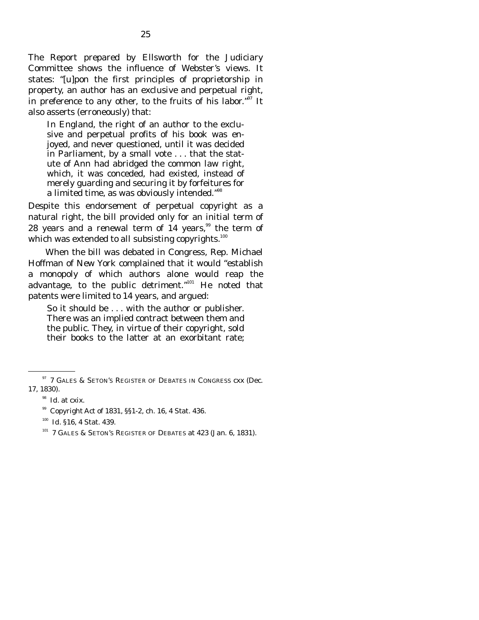The Report prepared by Ellsworth for the Judiciary Committee shows the influence of Webster's views. It states: "[u]pon the first principles of proprietorship in property, an author has an exclusive and perpetual right, in preference to any other, to the fruits of his labor." $\frac{1}{97}$  It also asserts (erroneously) that:

In England, the right of an author to the exclusive and perpetual profits of his book was enjoyed, and never questioned, until it was decided in Parliament, by a small vote . . . that the statute of Ann had abridged the common law right, which, it was conceded, had existed, instead of merely guarding and securing it by forfeitures for a limited time, as was obviously intended."98

Despite this endorsement of perpetual copyright as a natural right, the bill provided only for an initial term of 28 years and a renewal term of  $14$  years,<sup>99</sup> the term of which was extended to all subsisting copyrights.<sup>100</sup>

 When the bill was debated in Congress, Rep. Michael Hoffman of New York complained that it would "establish a monopoly of which authors alone would reap the advantage, to the public detriment."101 He noted that patents were limited to 14 years, and argued:

So it should be . . . with the author or publisher. There was an implied contract between them and the public. They, in virtue of their copyright, sold their books to the latter at an exorbitant rate;

 $97$  7 GALES & SETON'S REGISTER OF DEBATES IN CONGRESS  $cxx$  (Dec. 17, 1830).

<sup>98</sup> *Id.* at cxix.

99 Copyright Act of 1831, §§1-2, ch. 16, 4 Stat. 436.

<sup>100</sup> *Id.* §16, 4 Stat. 439.

 $101$  7 GALES & SETON'S REGISTER OF DEBATES at 423 (Jan. 6, 1831).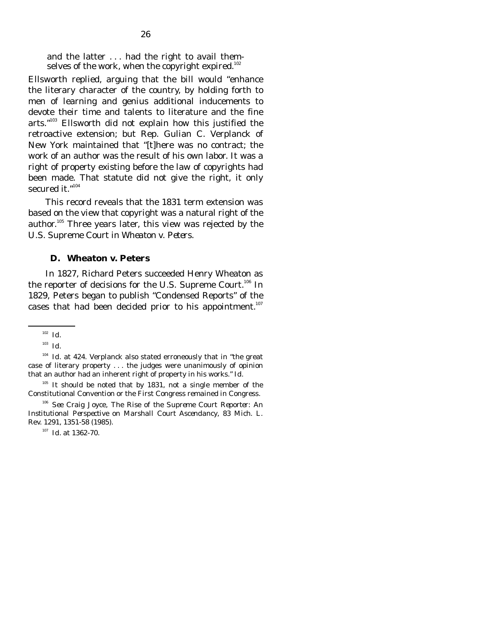and the latter . . . had the right to avail themselves of the work, when the copyright expired.<sup>102</sup>

Ellsworth replied, arguing that the bill would "enhance the literary character of the country, by holding forth to men of learning and genius additional inducements to devote their time and talents to literature and the fine arts."103 Ellsworth did not explain how this justified the retroactive extension; but Rep. Gulian C. Verplanck of New York maintained that "[t]here was no contract; the work of an author was the result of his own labor. It was a right of property existing before the law of copyrights had been made. That statute did not give the right, it only secured it."<sup>104</sup>

 This record reveals that the 1831 term extension was based on the view that copyright was a natural right of the author.<sup>105</sup> Three years later, this view was rejected by the U.S. Supreme Court in *Wheaton v. Peters*.

#### **D. Wheaton v. Peters**

 In 1827, Richard Peters succeeded Henry Wheaton as the reporter of decisions for the U.S. Supreme Court.<sup>106</sup> In 1829, Peters began to publish "Condensed Reports" of the cases that had been decided prior to his appointment.<sup>107</sup>

<sup>102</sup> *Id.*

<sup>103</sup> *Id.*

<sup>&</sup>lt;sup>104</sup> *Id.* at 424. Verplanck also stated erroneously that in "the great" case of literary property . . . the judges were unanimously of opinion that an author had an inherent right of property in his works." *Id.*

<sup>&</sup>lt;sup>105</sup> It should be noted that by 1831, not a single member of the Constitutional Convention or the First Congress remained in Congress.

<sup>106</sup> *See* Craig Joyce, *The Rise of the Supreme Court Reporter: An Institutional Perspective on Marshall Court Ascendancy*, 83 Mich. L. Rev. 1291, 1351-58 (1985).

<sup>107</sup> *Id.* at 1362-70.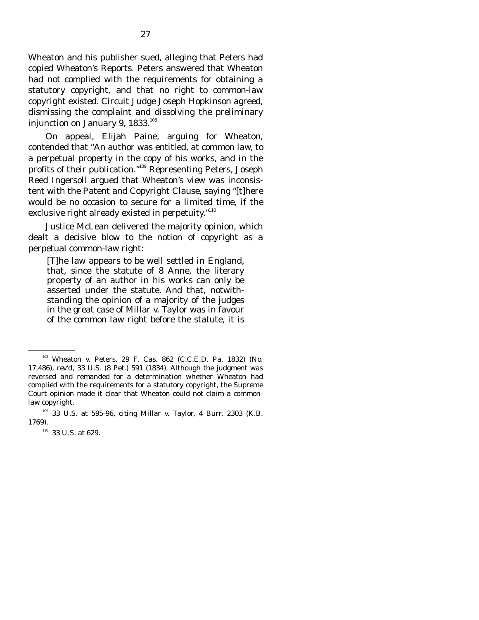Wheaton and his publisher sued, alleging that Peters had copied Wheaton's Reports. Peters answered that Wheaton had not complied with the requirements for obtaining a statutory copyright, and that no right to common-law copyright existed. Circuit Judge Joseph Hopkinson agreed, dismissing the complaint and dissolving the preliminary injunction on January 9,  $1833.<sup>108</sup>$ 

 On appeal, Elijah Paine, arguing for Wheaton, contended that "An author was entitled, at common law, to a perpetual property in the copy of his works, and in the profits of their publication."109 Representing Peters, Joseph Reed Ingersoll argued that Wheaton's view was inconsistent with the Patent and Copyright Clause, saying "[t]here would be no occasion to secure for a limited time, if the exclusive right already existed in perpetuity."<sup>110</sup>

 Justice McLean delivered the majority opinion, which dealt a decisive blow to the notion of copyright as a perpetual common-law right:

[T]he law appears to be well settled in England, that, since the statute of 8 Anne, the literary property of an author in his works can only be asserted under the statute. And that, notwithstanding the opinion of a majority of the judges in the great case of Millar v. Taylor was in favour of the common law right before the statute, it is

108 Wheaton v. Peters, 29 F. Cas. 862 (C.C.E.D. Pa. 1832) (No. 17,486), *rev'd*, 33 U.S. (8 Pet.) 591 (1834). Although the judgment was reversed and remanded for a determination whether Wheaton had complied with the requirements for a statutory copyright, the Supreme Court opinion made it clear that Wheaton could not claim a commonlaw copyright.

109 33 U.S. at 595-96, *citing* Millar v. Taylor, 4 Burr. 2303 (K.B. 1769).

 $110$  33 U.S. at 629.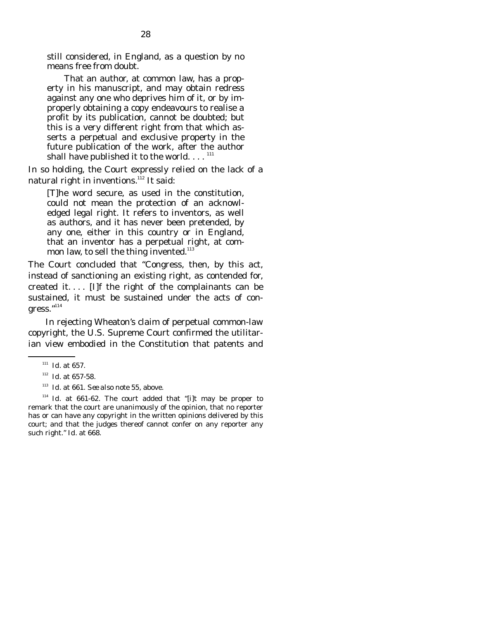still considered, in England, as a question by no means free from doubt.

 That an author, at common law, has a property in his manuscript, and may obtain redress against any one who deprives him of it, or by improperly obtaining a copy endeavours to realise a profit by its publication, cannot be doubted; but this is a very different right from that which asserts a perpetual and exclusive property in the future publication of the work, after the author shall have published it to the world. . . . <sup>111</sup>

In so holding, the Court expressly relied on the lack of a natural right in inventions.<sup>112</sup> It said:

[T]he word secure, as used in the constitution, could not mean the protection of an acknowledged legal right. It refers to inventors, as well as authors, and it has never been pretended, by any one, either in this country or in England, that an inventor has a perpetual right, at common law, to sell the thing invented. $113$ 

The Court concluded that "Congress, then, by this act, instead of sanctioning an existing right, as contended for, created it.... [I]f the right of the complainants can be sustained, it must be sustained under the acts of congress."114

 In rejecting Wheaton's claim of perpetual common-law copyright, the U.S. Supreme Court confirmed the utilitarian view embodied in the Constitution that patents and

 $114$  *Id.* at 661-62. The court added that "[i]t may be proper to remark that the court are unanimously of the opinion, that no reporter has or can have any copyright in the written opinions delivered by this court; and that the judges thereof cannot confer on any reporter any such right." *Id.* at 668.

<sup>111</sup> *Id.* at 657.

<sup>112</sup> *Id.* at 657-58.

<sup>113</sup> *Id.* at 661. *See also* note 55, above.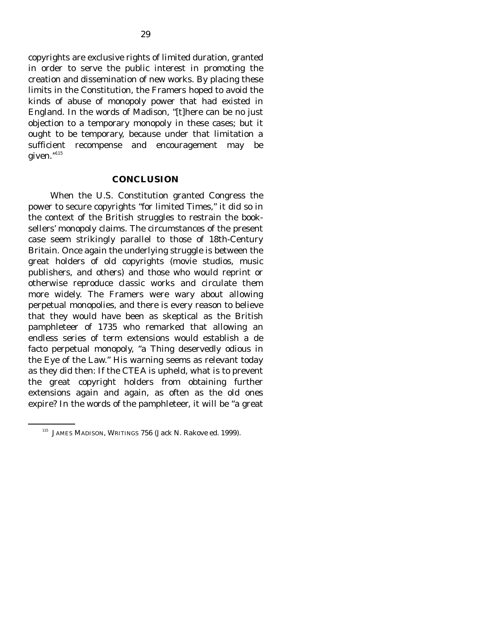copyrights are exclusive rights of limited duration, granted in order to serve the public interest in promoting the creation and dissemination of new works. By placing these limits in the Constitution, the Framers hoped to avoid the kinds of abuse of monopoly power that had existed in England. In the words of Madison, "[t]here can be no just objection to a temporary monopoly in these cases; but it ought to be temporary, because under that limitation a sufficient recompense and encouragement may be given."115

#### **CONCLUSION**

 When the U.S. Constitution granted Congress the power to secure copyrights "for limited Times," it did so in the context of the British struggles to restrain the booksellers' monopoly claims. The circumstances of the present case seem strikingly parallel to those of 18th-Century Britain. Once again the underlying struggle is between the great holders of old copyrights (movie studios, music publishers, and others) and those who would reprint or otherwise reproduce classic works and circulate them more widely. The Framers were wary about allowing perpetual monopolies, and there is every reason to believe that they would have been as skeptical as the British pamphleteer of 1735 who remarked that allowing an endless series of term extensions would establish a de facto perpetual monopoly, "a Thing deservedly odious in the Eye of the Law." His warning seems as relevant today as they did then: If the CTEA is upheld, what is to prevent the great copyright holders from obtaining further extensions again and again, as often as the old ones expire? In the words of the pamphleteer, it will be "a great

115 JAMES MADISON, WRITINGS 756 (Jack N. Rakove ed. 1999).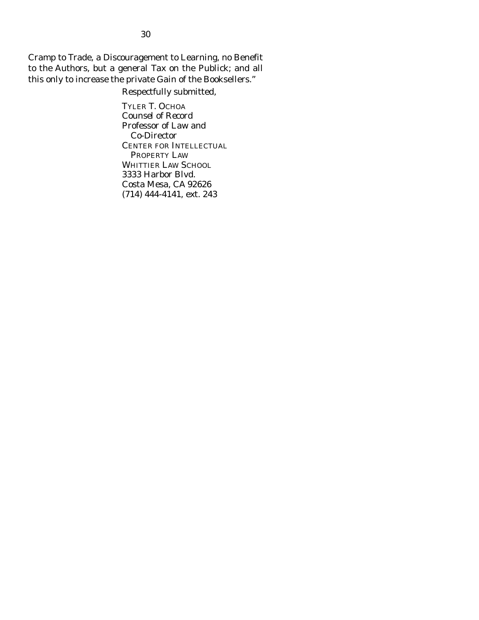Cramp to Trade, a Discouragement to Learning, no Benefit to the Authors, but a general Tax on the Publick; and all this only to increase the private Gain of the Booksellers."

Respectfully submitted,

TYLER T. OCHOA *Counsel of Record* Professor of Law and Co-Director CENTER FOR INTELLECTUAL PROPERTY LAW WHITTIER LAW SCHOOL 3333 Harbor Blvd. Costa Mesa, CA 92626 (714) 444-4141, ext. 243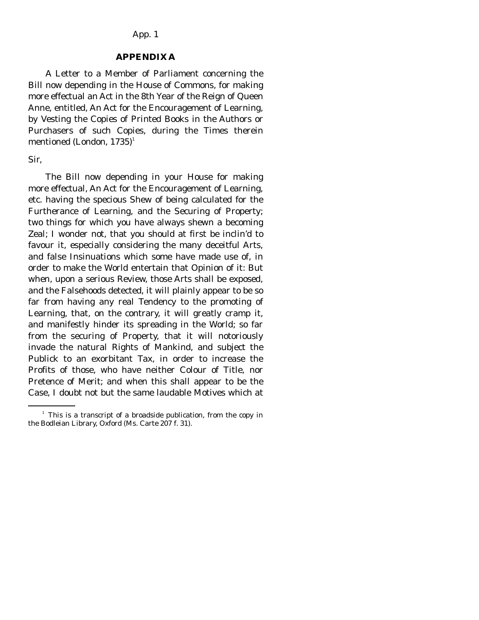### App. 1

#### **APPENDIX A**

A Letter to a Member of Parliament concerning the Bill now depending in the House of Commons, for making more effectual an Act in the 8th Year of the Reign of Queen Anne, entitled, An Act for the Encouragement of Learning, by Vesting the Copies of Printed Books in the Authors or Purchasers of such Copies, during the Times therein mentioned (London,  $1735$ )<sup>1</sup>

Sir,

 The Bill now depending in your House for making more effectual, An Act for the Encouragement of Learning, etc. having the specious Shew of being calculated for the Furtherance of Learning, and the Securing of Property; two things for which you have always shewn a becoming Zeal; I wonder not, that you should at first be inclin'd to favour it, especially considering the many deceitful Arts, and false Insinuations which some have made use of, in order to make the World entertain that Opinion of it: But when, upon a serious Review, those Arts shall be exposed, and the Falsehoods detected, it will plainly appear to be so far from having any real Tendency to the promoting of Learning, that, on the contrary, it will greatly cramp it, and manifestly hinder its spreading in the World; so far from the securing of Property, that it will notoriously invade the natural Rights of Mankind, and subject the Publick to an exorbitant Tax, in order to increase the Profits of those, who have neither Colour of Title, nor Pretence of Merit; and when this shall appear to be the Case, I doubt not but the same laudable Motives which at

<sup>&</sup>lt;sup>1</sup> This is a transcript of a broadside publication, from the copy in the Bodleian Library, Oxford (Ms. Carte 207 f. 31).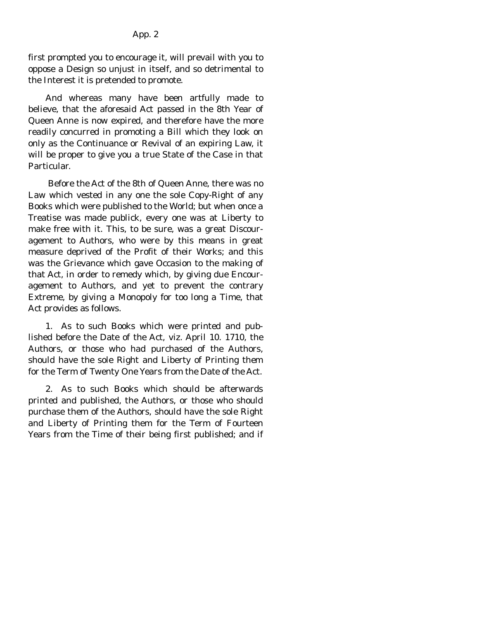first prompted you to encourage it, will prevail with you to oppose a Design so unjust in itself, and so detrimental to the Interest it is pretended to promote.

 And whereas many have been artfully made to believe, that the aforesaid Act passed in the 8th Year of Queen Anne is now expired, and therefore have the more readily concurred in promoting a Bill which they look on only as the Continuance or Revival of an expiring Law, it will be proper to give you a true State of the Case in that Particular.

 Before the Act of the 8th of Queen Anne, there was no Law which vested in any one the sole Copy-Right of any Books which were published to the World; but when once a Treatise was made publick, every one was at Liberty to make free with it. This, to be sure, was a great Discouragement to Authors, who were by this means in great measure deprived of the Profit of their Works; and this was the Grievance which gave Occasion to the making of that Act, in order to remedy which, by giving due Encouragement to Authors, and yet to prevent the contrary Extreme, by giving a Monopoly for too long a Time, that Act provides as follows.

 1. As to such Books which were printed and published before the Date of the Act, viz. April 10. 1710, the Authors, or those who had purchased of the Authors, should have the sole Right and Liberty of Printing them for the Term of Twenty One Years from the Date of the Act.

 2. As to such Books which should be afterwards printed and published, the Authors, or those who should purchase them of the Authors, should have the sole Right and Liberty of Printing them for the Term of Fourteen Years from the Time of their being first published; and if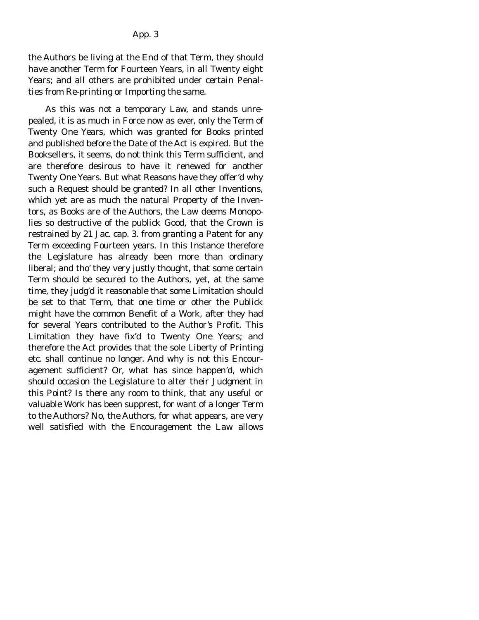the Authors be living at the End of that Term, they should have another Term for Fourteen Years, in all Twenty eight Years; and all others are prohibited under certain Penalties from Re-printing or Importing the same.

 As this was not a temporary Law, and stands unrepealed, it is as much in Force now as ever, only the Term of Twenty One Years, which was granted for Books printed and published before the Date of the Act is expired. But the Booksellers, it seems, do not think this Term sufficient, and are therefore desirous to have it renewed for another Twenty One Years. But what Reasons have they offer'd why such a Request should be granted? In all other Inventions, which yet are as much the natural Property of the Inventors, as Books are of the Authors, the Law deems Monopolies so destructive of the publick Good, that the Crown is restrained by 21 Jac. cap. 3. from granting a Patent for any Term exceeding Fourteen years. In this Instance therefore the Legislature has already been more than ordinary liberal; and tho' they very justly thought, that some certain Term should be secured to the Authors, yet, at the same time, they judg'd it reasonable that some Limitation should be set to that Term, that one time or other the Publick might have the common Benefit of a Work, after they had for several Years contributed to the Author's Profit. This Limitation they have fix'd to Twenty One Years; and therefore the Act provides that the sole Liberty of Printing etc. shall continue no longer. And why is not this Encouragement sufficient? Or, what has since happen'd, which should occasion the Legislature to alter their Judgment in this Point? Is there any room to think, that any useful or valuable Work has been supprest, for want of a longer Term to the Authors? No, the Authors, for what appears, are very well satisfied with the Encouragement the Law allows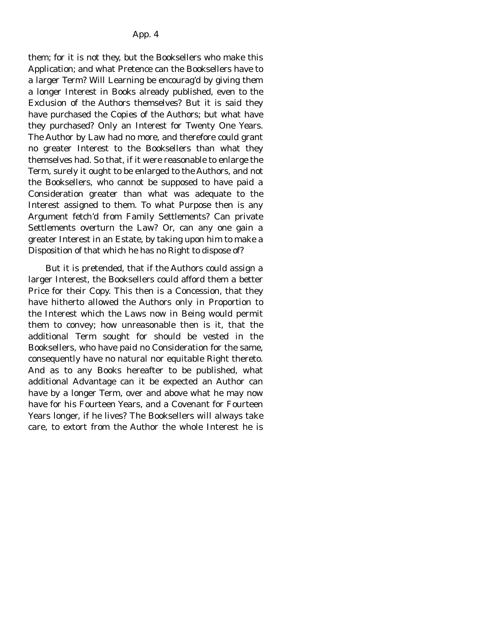them; for it is not they, but the Booksellers who make this Application; and what Pretence can the Booksellers have to a larger Term? Will Learning be encourag'd by giving them a longer Interest in Books already published, even to the Exclusion of the Authors themselves? But it is said they have purchased the Copies of the Authors; but what have they purchased? Only an Interest for Twenty One Years. The Author by Law had no more, and therefore could grant no greater Interest to the Booksellers than what they themselves had. So that, if it were reasonable to enlarge the Term, surely it ought to be enlarged to the Authors, and not the Booksellers, who cannot be supposed to have paid a Consideration greater than what was adequate to the Interest assigned to them. To what Purpose then is any Argument fetch'd from Family Settlements? Can private Settlements overturn the Law? Or, can any one gain a greater Interest in an Estate, by taking upon him to make a Disposition of that which he has no Right to dispose of?

 But it is pretended, that if the Authors could assign a larger Interest, the Booksellers could afford them a better Price for their Copy. This then is a Concession, that they have hitherto allowed the Authors only in Proportion to the Interest which the Laws now in Being would permit them to convey; how unreasonable then is it, that the additional Term sought for should be vested in the Booksellers, who have paid no Consideration for the same, consequently have no natural nor equitable Right thereto. And as to any Books hereafter to be published, what additional Advantage can it be expected an Author can have by a longer Term, over and above what he may now have for his Fourteen Years, and a Covenant for Fourteen Years longer, if he lives? The Booksellers will always take care, to extort from the Author the whole Interest he is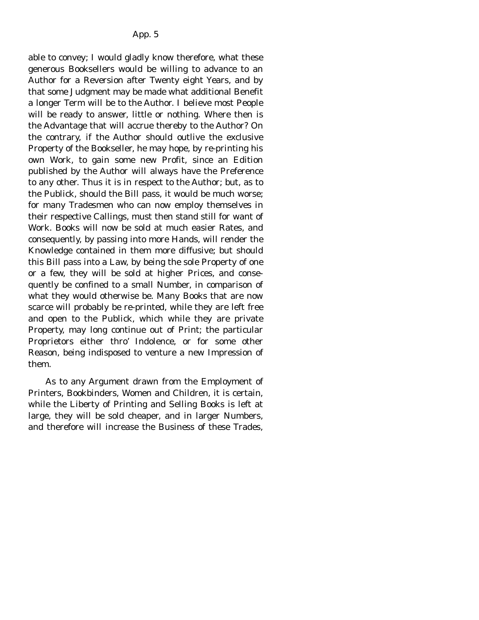able to convey; I would gladly know therefore, what these generous Booksellers would be willing to advance to an Author for a Reversion after Twenty eight Years, and by that some Judgment may be made what additional Benefit a longer Term will be to the Author. I believe most People will be ready to answer, little or nothing. Where then is the Advantage that will accrue thereby to the Author? On the contrary, if the Author should outlive the exclusive Property of the Bookseller, he may hope, by re-printing his own Work, to gain some new Profit, since an Edition published by the Author will always have the Preference to any other. Thus it is in respect to the Author; but, as to the Publick, should the Bill pass, it would be much worse; for many Tradesmen who can now employ themselves in their respective Callings, must then stand still for want of Work. Books will now be sold at much easier Rates, and consequently, by passing into more Hands, will render the Knowledge contained in them more diffusive; but should this Bill pass into a Law, by being the sole Property of one or a few, they will be sold at higher Prices, and consequently be confined to a small Number, in comparison of what they would otherwise be. Many Books that are now scarce will probably be re-printed, while they are left free and open to the Publick, which while they are private Property, may long continue out of Print; the particular Proprietors either thro' Indolence, or for some other Reason, being indisposed to venture a new Impression of them.

 As to any Argument drawn from the Employment of Printers, Bookbinders, Women and Children, it is certain, while the Liberty of Printing and Selling Books is left at large, they will be sold cheaper, and in larger Numbers, and therefore will increase the Business of these Trades,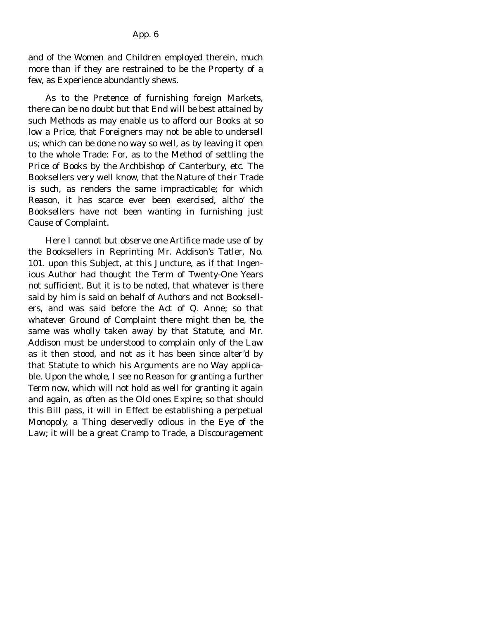and of the Women and Children employed therein, much more than if they are restrained to be the Property of a few, as Experience abundantly shews.

 As to the Pretence of furnishing foreign Markets, there can be no doubt but that End will be best attained by such Methods as may enable us to afford our Books at so low a Price, that Foreigners may not be able to undersell us; which can be done no way so well, as by leaving it open to the whole Trade: For, as to the Method of settling the Price of Books by the Archbishop of Canterbury, etc. The Booksellers very well know, that the Nature of their Trade is such, as renders the same impracticable; for which Reason, it has scarce ever been exercised, altho' the Booksellers have not been wanting in furnishing just Cause of Complaint.

 Here I cannot but observe one Artifice made use of by the Booksellers in Reprinting Mr. Addison's Tatler, No. 101. upon this Subject, at this Juncture, as if that Ingenious Author had thought the Term of Twenty-One Years not sufficient. But it is to be noted, that whatever is there said by him is said on behalf of Authors and not Booksellers, and was said before the Act of Q. Anne; so that whatever Ground of Complaint there might then be, the same was wholly taken away by that Statute, and Mr. Addison must be understood to complain only of the Law as it then stood, and not as it has been since alter'd by that Statute to which his Arguments are no Way applicable. Upon the whole, I see no Reason for granting a further Term now, which will not hold as well for granting it again and again, as often as the Old ones Expire; so that should this Bill pass, it will in Effect be establishing a perpetual Monopoly, a Thing deservedly odious in the Eye of the Law; it will be a great Cramp to Trade, a Discouragement